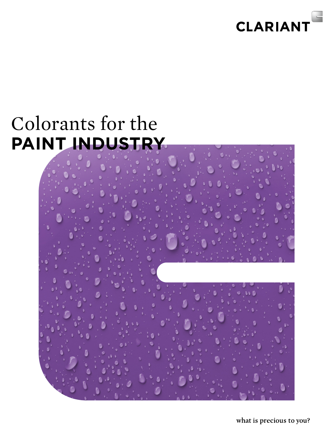

# Colorants for the **paint industry**



what is precious to you?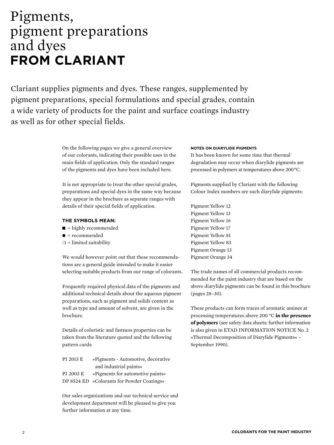### Pigments, pigment preparations and dyes **from Clariant**

Clariant supplies pigments and dyes. These ranges, supplemented by pigment preparations, special formulations and special grades, contain a wide variety of products for the paint and surface coatings industry as well as for other special fields.

> On the following pages we give a general overview of our colorants, indicating their possible uses in the main fields of application. Only the standard ranges of the pigments and dyes have been included here.

It is not appropriate to treat the other special grades, preparations and special dyes in the same way because they appear in the brochure as separate ranges with details of their special fields of application.

- **The symbols mean:**
- $\blacksquare$  = highly recommended
- $\bullet$  = recommended
- $\bigcirc$  = limited suitability

We would however point out that these recommendations are a general guide intended to make it easier selecting suitable products from our range of colorants.

Frequently required physical data of the pigments and additional technical details about the aqueous pigment preparations, such as pigment and solids content as well as type and amount of solvent, are given in the brochure.

Details of coloristic and fastness properties can be taken from the literature quoted and the following pattern cards:

| PI 2013 E | »Pigments - Automotive, decorative         |
|-----------|--------------------------------------------|
|           | and industrial paints«                     |
| PI 2003 E | »Pigments for automotive paints«           |
|           | DP 8524 ED »Colorants for Powder Coatings« |

Our sales organizations and our technical service and development department will be pleased to give you further information at any time.

#### **Notes on diarylide pigments**

It has been known for some time that thermal degradation may occur when diarylide pigments are processed in polymers at temperatures above 200 °C.

Pigments supplied by Clariant with the following Colour Index numbers are such diarylide pigments:

Pigment Yellow 12 Pigment Yellow 13 Pigment Yellow 16 Pigment Yellow 17 Pigment Yellow 81 Pigment Yellow 83 Pigment Orange 13 Pigment Orange 34

The trade names of all commercial products recommended for the paint industry that are based on the above diarylide pigments can be found in this brochure (pages 28–30).

These products can form traces of aromatic amines at processing temperatures above 200 °C **in the presence of polymers** (see safety data sheets; further information is also given in ETAD INFORMATION NOTICE No. 2 »Thermal Decomposition of Diarylide Pigments« – September 1990).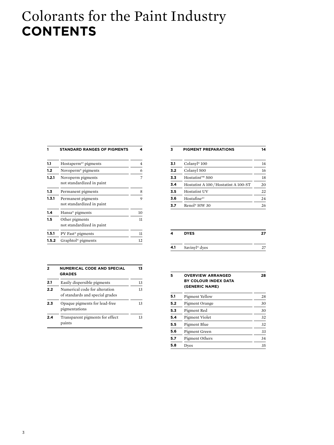## Colorants for the Paint Industry **contents**

|       | <b>STANDARD RANGES OF PIGMENTS</b>              | 4  |
|-------|-------------------------------------------------|----|
| 1.1   | Hostaperm <sup>®1</sup> pigments                | 4  |
| 1.2   | Novoperm <sup>®</sup> pigments                  | 6  |
| 1.2.1 | Novoperm pigments<br>not standardized in paint  | 7  |
| 1.3   | Permanent pigments                              | 8  |
| 1.3.1 | Permanent pigments<br>not standardized in paint | 9  |
| 1.4   | Hansa <sup>®</sup> pigments                     | 10 |
| 1.5   | Other pigments<br>not standardized in paint     | 11 |
| 1.5.1 | PV Fast <sup>®</sup> pigments                   | 11 |
| 1.5.2 | Graphtol <sup>®</sup> pigments                  | 12 |

| 2   | <b>NUMERICAL CODE AND SPECIAL</b><br><b>GRADES</b>               | 13 |
|-----|------------------------------------------------------------------|----|
| 2.1 | Easily dispersible pigments                                      | 13 |
| 2.2 | Numerical code for alteration<br>of standards and special grades | 13 |
| 2.3 | Opaque pigments for lead-free<br>pigmentations                   | 13 |
| 2.4 | Transparent pigments for effect<br>paints                        | 13 |

| 3   | <b>PIGMENT PREPARATIONS</b>          | 14 |
|-----|--------------------------------------|----|
| 3.1 | Colanyl <sup>®</sup> 100             | 14 |
| 3.2 | Colanyl 500                          | 16 |
| 3.3 | Hostatint™ 500                       | 18 |
| 3.4 | Hostatint A 100 / Hostatint A 100-ST | 20 |
| 3.5 | <b>Hostatint UV</b>                  | 22 |
| 3.6 | $Hosta$ fine <sup>®1</sup>           | 24 |
| 3.7 | Renol® HW 30                         | 26 |
|     |                                      |    |

| 4   | <b>DYES</b>               |  |
|-----|---------------------------|--|
| 4.1 | Savinyl <sup>®</sup> dyes |  |
|     |                           |  |

| 5   | <b>OVERVIEW ARRANGED</b><br>BY COLOUR INDEX DATA<br>(GENERIC NAME) | 28 |
|-----|--------------------------------------------------------------------|----|
| 5.1 | Pigment Yellow                                                     | 28 |
| 5.2 | Pigment Orange                                                     | 30 |
| 5.3 | Pigment Red                                                        | 30 |
| 5.4 | Pigment Violet                                                     | 32 |
| 5.5 | Pigment Blue                                                       | 32 |
| 5.6 | Pigment Green                                                      | 33 |
| 5.7 | Pigment Others                                                     | 34 |
| 5.8 | Dves                                                               | 35 |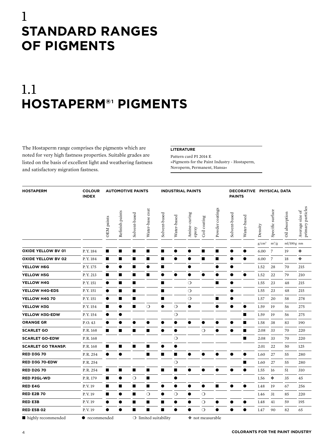### 1 **Standard ranges of pigments**

# 1.1 **Hostaperm®1 pigments**

The Hostaperm range comprises the pigments which are noted for very high fastness properties. Suitable grades are listed on the basis of excellent light and weathering fastness and satisfactory migration fastness.

#### **Literature**

Pattern card PI 2014 E »Pigments for the Paint Industry - Hostaperm, Novoperm, Permanent, Hansa«

| <b>HOSTAPERM</b>          | <b>COLOUR</b><br><b>INDEX</b> | <b>AUTOMOTIVE PAINTS</b> |                 |               |                 |                       |             | <b>INDUSTRIAL PAINTS</b> |                  |                 |               | DECORATIVE PHYSICAL DATA<br><b>PAINTS</b> |          |                  |                |                                      |
|---------------------------|-------------------------------|--------------------------|-----------------|---------------|-----------------|-----------------------|-------------|--------------------------|------------------|-----------------|---------------|-------------------------------------------|----------|------------------|----------------|--------------------------------------|
|                           |                               | OEM paints               | Refinish paints | Solvent-based | Water-base coat | Solvent-based         | Water-based | Amine-curing<br>epoxy    | Coil coating     | Powder coatings | Solvent-based | Water-based                               | Density  | Specific surface | Oil absorption | Average size of<br>primary particles |
|                           |                               |                          |                 |               |                 |                       |             |                          |                  |                 |               |                                           | $g/cm^3$ | $m^2/g$          | $ml/100g$ nm   |                                      |
| <b>OXIDE YELLOW BV 01</b> | P.Y. 184                      | ■                        | ■               | ■             | ■               | ■                     |             |                          | ■                | п               |               | ●                                         | 6.00     | $\overline{7}$   | 19             | ٠                                    |
| <b>OXIDE YELLOW BV 02</b> | P.Y. 184                      | ■                        | ■               | ■             | ■               | ■                     |             |                          | ■                | п               | O             |                                           | 6.00     | $\overline{7}$   | 18             | ۰                                    |
| YELLOW H6G                | P.Y. 175                      | $\bullet$                | o               | ■             | $\bullet$       | П                     |             |                          |                  |                 | œ             |                                           | 1.52     | 28               | 70             | 215                                  |
| YELLOW H5G                | P.Y. 213                      | П                        | ■               | ■             | п               | $\bullet$             | ●           |                          |                  | ●               |               | $\bullet$                                 | 1.52     | 22               | 79             | 210                                  |
| YELLOW H4G                | P.Y. 151                      |                          | ■               | ■             |                 | п                     |             | $\circ$                  |                  | п               | 0             |                                           | 1.55     | 23               | 48             | 215                                  |
| YELLOW H4G-EDS            | P.Y. 151                      |                          | ■               | ■             |                 | п                     |             | $\circ$                  |                  |                 |               |                                           | 1.55     | 23               | 48             | 215                                  |
| YELLOW H4G 70             | P.Y. 151                      | $\bullet$                | ■               | ■             |                 | п                     |             | $\circ$                  |                  | ш               | O             |                                           | 1.57     | 20               | 58             | 278                                  |
| YELLOW H3G                | P.Y. 154                      | ■                        | $\bullet$       | ■             | $\circ$         | $\bullet$             | $\circ$     | $\bullet$                |                  | $\bullet$       | $\bullet$     | $\bullet$                                 | 1.59     | 19               | 56             | 275                                  |
| YELLOW H3G-EDW            | P.Y. 154                      | $\bullet$                | ●               |               |                 |                       | $\circ$     |                          |                  |                 |               | п                                         | 1.59     | 19               | 56             | 275                                  |
| <b>ORANGE GR</b>          | P.O. 43                       | ●                        |                 |               | 0               |                       |             |                          |                  |                 |               | ■                                         | 1.58     | 38               | 83             | 190                                  |
| <b>SCARLET GO</b>         | P.R. 168                      | п                        | п               | п             | $\blacksquare$  | $\bullet$             | $\bullet$   |                          | $\circ$          | $\bullet$       | $\bullet$     | п                                         | 2.08     | 33               | 70             | 220                                  |
| <b>SCARLET GO-EDW</b>     | P.R. 168                      |                          |                 |               |                 |                       | $\circ$     |                          |                  |                 |               | п                                         | 2.08     | 33               | 70             | 220                                  |
| <b>SCARLET GO TRANSP.</b> | P.R. 168                      | п                        | п               | п             | ■               | e                     | ●           |                          |                  |                 |               |                                           | 2.01     | 22               | 50             | 125                                  |
| <b>RED D3G 70</b>         | P.R. 254                      | $\bullet$                | $\bullet$       |               | П               | п                     | ■           | ●                        |                  | ●               |               | $\bullet$                                 | 1.60     | 27               | 55             | 280                                  |
| RED D3G 70-EDW            | P.R. 254                      |                          |                 |               |                 |                       | $\circ$     |                          |                  |                 |               | п                                         | 1.60     | 27               | 55             | 280                                  |
| <b>RED D2G 70</b>         | P.R. 254                      | П                        | П               | п             | ■               | п                     | п           | 0                        |                  |                 |               | $\bullet$                                 | 1.55     | 16               | 51             | 310                                  |
| <b>RED P2GL-WD</b>        | P.R. 179                      | п                        | ●               | $\circ$       | п               |                       | $\bullet$   |                          |                  |                 |               |                                           | 1.56     | ❖                | 35             | 45                                   |
| <b>RED E4G</b>            | P.V.19                        | П                        | П               | П             | п               | $\bullet$             |             |                          | $\bullet$        | $\blacksquare$  |               | $\bullet$                                 | 1.48     | 19               | 67             | 256                                  |
| <b>RED E2B 70</b>         | P.V.19                        | п                        | $\bullet$       | п             | $\circ$         | $\bullet$             | $\circ$     | $\bullet$                | $\circ$          |                 |               |                                           | 1.46     | 31               | 85             | 220                                  |
| RED E3B                   | P.V.19                        | 0                        |                 | ■             | П               | П                     | 0           |                          | $\circ$          |                 |               |                                           | 1.48     | 41               | 59             | 195                                  |
| <b>RED E5B 02</b>         | P.V.19                        | $\bullet$                | $\bullet$       | ■             | П               | П                     | $\bullet$   |                          | $\circ$          | $\bullet$       |               | $\bullet$                                 | 1.47     | 90               | 82             | 65                                   |
| highly recommended        | $\bullet$ recommended         |                          |                 |               |                 | O limited suitability |             |                          | ❖ not measurable |                 |               |                                           |          |                  |                |                                      |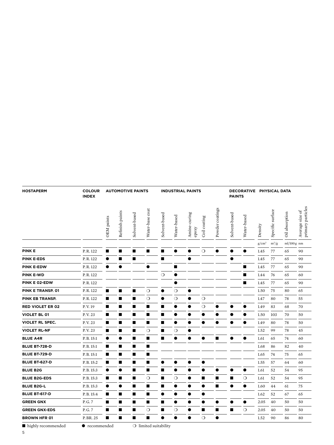| <b>HOSTAPERM</b>        | <b>COLOUR</b><br><b>INDEX</b> | <b>INDUSTRIAL PAINTS</b><br><b>AUTOMOTIVE PAINTS</b> |                 |               |                 |                |             |                       | <b>PAINTS</b> |                 | DECORATIVE PHYSICAL DATA |             |          |                  |                |                                      |
|-------------------------|-------------------------------|------------------------------------------------------|-----------------|---------------|-----------------|----------------|-------------|-----------------------|---------------|-----------------|--------------------------|-------------|----------|------------------|----------------|--------------------------------------|
|                         |                               | OEM paints                                           | Refinish paints | Solvent-based | Water-base coat | Solvent-based  | Water-based | Amine-curing<br>epoxy | Coil coating  | Powder coatings | Solvent-based            | Water-based | Density  | Specific surface | Oil absorption | primary particles<br>Average size of |
|                         |                               |                                                      |                 |               |                 |                |             |                       |               |                 |                          |             | $g/cm^3$ | $m^2/g$          | $ml/100g$ nm   |                                      |
| <b>PINK E</b>           | P.R. 122                      | ∎                                                    | ■               | ■             | п               | ■              |             |                       | $\circ$       | ●               |                          |             | 1.45     | 77               | 65             | 90                                   |
| <b>PINK E-EDS</b>       | P.R. 122                      |                                                      | ■               | ■             |                 | ■              |             |                       |               |                 |                          |             | 1.45     | 77               | 65             | 90                                   |
| <b>PINK E-EDW</b>       | P.R. 122                      | $\bullet$                                            |                 |               | ●               |                | П           |                       |               |                 |                          | ■           | 1.45     | 77               | 65             | 90                                   |
| <b>PINK E-WD</b>        | P.R. 122                      |                                                      |                 |               |                 | $\circ$        |             |                       |               |                 |                          | ■           | 1.44     | 76               | 65             | 60                                   |
| PINK E 02-EDW           | P.R. 122                      |                                                      |                 |               |                 |                |             |                       |               |                 |                          | ■           | 1.45     | 77               | 65             | 90                                   |
| PINK E TRANSP. 01       | P.R. 122                      | ■                                                    | П               | ■             | $\circ$         | $\bullet$      | $\circ$     | $\bullet$             |               |                 |                          |             | 1.50     | 75               | 80             | 65                                   |
| PINK EB TRANSP.         | P.R. 122                      | п                                                    | П               | ■             | $\circ$         |                | $\circ$     |                       | $\circ$       |                 |                          |             | 1.47     | 80               | 78             | 55                                   |
| <b>RED VIOLET ER 02</b> | P.V. 19                       | п                                                    | П               | ∎             | п               | ■              |             |                       | $\circ$       |                 |                          | ●           | 1.49     | 83               | 68             | 70                                   |
| <b>VIOLET BL 01</b>     | P.V. 23                       | П                                                    | ■               | ■             | п               | ■              |             |                       | ●             |                 |                          |             | 1.50     | 103              | 70             | 50                                   |
| <b>VIOLET RL SPEC.</b>  | P.V. 23                       | п                                                    | П               | ■             | п               | ■              |             | ●                     | $\bullet$     | $\bullet$       |                          | 0           | 1.49     | 80               | 78             | 50                                   |
| <b>VIOLET RL-NF</b>     | P.V. 23                       | п                                                    | ■               | ■             | $\circ$         | $\blacksquare$ | $\circ$     |                       |               |                 |                          |             | 1.52     | 99               | 78             | 45                                   |
| <b>BLUE A4R</b>         | P.B. 15:1                     | $\bullet$                                            |                 | ■             | $\blacksquare$  | ■              | $\bullet$   | э                     | ●             | п               |                          |             | 1.61     | 65               | 74             | 60                                   |
| <b>BLUE BT-728-D</b>    | P.B. 15:1                     | п                                                    | ■               | ■             | п               |                |             |                       |               |                 |                          |             | 1.68     | 86               | 82             | 40                                   |
| <b>BLUE BT-729-D</b>    | P.B. 15:1                     | п                                                    | П               | П             | П               |                |             |                       |               |                 |                          |             | 1.65     | 74               | 75             | 65                                   |
| <b>BLUE BT-627-D</b>    | P.B. 15:2                     | п                                                    | П               | ■             | п               | ●              |             |                       | ●             |                 |                          |             | 1.55     | 57               | 64             | 60                                   |
| <b>BLUE B2G</b>         | P.B. 15:3                     | $\bullet$                                            |                 | ■             | П               | ■              | $\bullet$   |                       | ●             |                 |                          | $\bullet$   | 1.61     | 52               | 54             | 95                                   |
| <b>BLUE B2G-EDS</b>     | P.B. 15:3                     | п                                                    | П               | ■             | $\circ$         | ■              | $\bigcirc$  |                       | ■             | п               | ■                        | $\circ$     | 1.61     | 52               | 54             | 95                                   |
| <b>BLUE B2G-L</b>       | P.B. 15:3                     | $\bullet$                                            | ●               | ■             | $\blacksquare$  | П              | $\bullet$   | ●                     | $\bullet$     | п               | $\bullet$                | $\bullet$   | 1.60     | 44               | 61             | 75                                   |
| BLUE BT-617-D           | P.B. 15:4                     | п                                                    | П               | ■             | п               | $\bullet$      | $\bullet$   |                       | $\bullet$     |                 |                          |             | 1.62     | 52               | 67             | 65                                   |
| <b>GREEN GNX</b>        | P.G. 7                        | п                                                    | ■               | ■             | п               | ■              | $\bullet$   |                       | ●             |                 |                          |             | 2.05     | 40               | 50             | 50                                   |
| <b>GREEN GNX-EDS</b>    | P.G. 7                        | п                                                    | ■               | ■             | $\circ$         | ■              | $\circ$     | ●                     | ■             | п               | п                        | $\circ$     | 2.05     | 40               | 50             | 50                                   |
| <b>BROWN HFR 01</b>     | P. BR. 25                     | П                                                    | П               | ■             | п               | $\bullet$      | $\bullet$   | $\bullet$             | $\circ$       | $\bullet$       |                          |             | 1.52     | 90               | 86             | 80                                   |

 $\qquad \qquad \blacksquare$  <br> highly recommended  $\qquad \qquad \blacklozenge$  recommended<br>  $\qquad \qquad \square$  limited suitability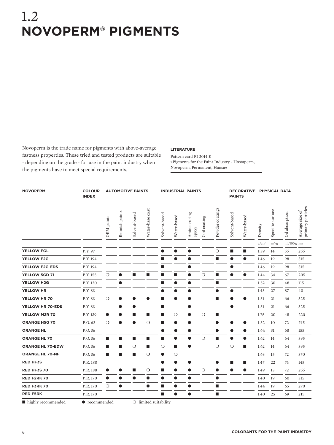### 1.2 **Novoperm® pigments**

Novoperm is the trade name for pigments with above-average fastness properties. These tried and tested products are suitable - depending on the grade - for use in the paint industry when the pigments have to meet special requirements.

#### **Literature**

Pattern card PI 2014 E »Pigments for the Paint Industry - Hostaperm, Novoperm, Permanent, Hansa«

| <b>NOVOPERM</b>         | <b>COLOUR</b><br><b>INDEX</b> | <b>AUTOMOTIVE PAINTS</b><br><b>INDUSTRIAL PAINTS</b> |                 |                |                                |                          |             |                       | DECORATIVE PHYSICAL DATA<br><b>PAINTS</b> |                             |               |                |          |                  |                         |                                      |
|-------------------------|-------------------------------|------------------------------------------------------|-----------------|----------------|--------------------------------|--------------------------|-------------|-----------------------|-------------------------------------------|-----------------------------|---------------|----------------|----------|------------------|-------------------------|--------------------------------------|
|                         |                               | OEM paints                                           | Refinish paints | Solvent-based  | Water-base coat                | Solvent-based            | Water-based | Amine-curing<br>epoxy | Coil coating                              | Powder coatings             | Solvent-based | Water-based    | Density  | Specific surface | Oil absorption          | primary particles<br>Average size of |
|                         |                               |                                                      |                 |                |                                |                          |             |                       |                                           |                             |               |                | $g/cm^3$ | $m^2/g$          | $ml/100g$ <sub>nm</sub> |                                      |
| <b>YELLOW FGL</b>       | P.Y. 97                       |                                                      |                 |                |                                | ●                        |             | $\bullet$             |                                           | $\circ$                     | ■             | п              | 1.39     | 14               | 55                      | 255                                  |
| <b>YELLOW F2G</b>       | P.Y. 194                      |                                                      |                 |                |                                | $\mathbb{R}^n$           |             | $\bullet$             |                                           | $\mathcal{L}_{\mathcal{A}}$ | $\bullet$     | $\bullet$      | 1.46     | 19               | 98                      | 315                                  |
| <b>YELLOW F2G-EDS</b>   | P.Y. 194                      |                                                      |                 |                |                                | п                        |             |                       |                                           |                             |               |                | 1.46     | 19               | 98                      | 315                                  |
| YELLOW 5GD 71           | P.Y. 155                      | $\circ$                                              | $\bullet$       | ш              | $\mathbf{r}$                   | $\overline{\phantom{a}}$ | ■           | $\bullet$             | $\circ$                                   | $\mathcal{L}_{\mathcal{A}}$ | $\bullet$     | $\bullet$      | 1.44     | 34               | 67                      | 205                                  |
| YELLOW H2G              | P.Y. 120                      |                                                      | $\bullet$       |                |                                | п                        | $\bullet$   | $\bullet$             |                                           | п                           |               |                | 1.52     | 30               | 48                      | 115                                  |
| YELLOW HR               | P.Y.83                        |                                                      |                 |                |                                |                          | œ           | 0                     |                                           | 0                           |               |                | 1.43     | 27               | 87                      | 40                                   |
| YELLOW HR 70            | P.Y.83                        | $\bigcirc$                                           | $\bullet$       |                | $\bullet$                      | п                        |             | $\bullet$             |                                           | п                           |               | $\bullet$      | 1.51     | 21               | 66                      | 325                                  |
| YELLOW HR 70-EDS        | P.Y.83                        |                                                      | ●               |                |                                | <b>In</b>                |             |                       |                                           |                             |               |                | 1.51     | 21               | 66                      | 325                                  |
| YELLOW M2R 70           | P.Y. 139                      | $\bullet$                                            | ●               | $\blacksquare$ | П                              | п                        | $\circ$     | $\bullet$             | $\circ$                                   | п                           |               |                | 1.75     | 20               | 45                      | 220                                  |
| ORANGE H5G 70           | P.O. <sub>62</sub>            | $\circ$                                              | $\bullet$       | $\bullet$      | $\circ$                        | $\mathbb{R}^n$           | 0           | 0                     |                                           | $\bullet$                   |               | O              | 1.52     | 10               | 72                      | 745                                  |
| <b>ORANGE HL</b>        | P.O.36                        |                                                      |                 |                |                                | ●                        |             |                       |                                           | ●                           |               | 0              | 1.64     | 31               | 68                      | 155                                  |
| <b>ORANGE HL 70</b>     | P.O. 36                       | $\blacksquare$                                       | П               | $\blacksquare$ | $\overline{\phantom{a}}$       | $\blacksquare$           | $\bullet$   | $\bullet$             | $\circ$                                   | $\overline{\phantom{a}}$    | $\bullet$     | $\bullet$      | 1.62     | 14               | 64                      | 395                                  |
| <b>ORANGE HL 70-EDW</b> | P.O.36                        | ■                                                    | ▅               | $\circ$        | п                              | $\circ$                  | ■           | $\bullet$             |                                           | $\circ$                     | $\bigcirc$    | $\blacksquare$ | 1.62     | 14               | 64                      | 395                                  |
| <b>ORANGE HL 70-NF</b>  | P.O.36                        | $\blacksquare$                                       | П               | $\blacksquare$ | $\bigcirc$                     | $\bullet$                | $\circ$     |                       |                                           |                             |               |                | 1.63     | 15               | 72                      | 370                                  |
| <b>RED HF3S</b>         | P.R. 188                      |                                                      |                 |                |                                | $\bullet$                | $\bullet$   | $\bullet$             |                                           | $\bullet$                   | ■             | п              | 1.47     | 22               | 74                      | 145                                  |
| RED HF3S 70             | P.R. 188                      | $\bullet$                                            | œ               | $\blacksquare$ | $\circ$                        | п                        |             | $\bullet$             | $\circ$                                   | $\bullet$                   | O             | 0              | 1.49     | 13               | 72                      | 255                                  |
| <b>RED F2RK 70</b>      | P.R. 170                      | $\bullet$                                            | ●               | $\bullet$      | $\bullet$                      | $\bullet$                |             | $\bullet$             |                                           | $\bullet$                   |               |                | 1.40     | 19               | 60                      | 315                                  |
| RED F3RK 70             | P.R. 170                      | $\circ$                                              | ●               |                | $\bullet$                      | п                        |             | ●                     |                                           | n.                          |               |                | 1.44     | 19               | 65                      | 270                                  |
| <b>RED F5RK</b>         | P.R. 170                      |                                                      |                 |                |                                | п                        | $\bullet$   | $\bullet$             |                                           | $\mathcal{L}_{\mathcal{A}}$ |               |                | 1.40     | 25               | 69                      | 215                                  |
| highly recommended      | $\bullet$ recommended         |                                                      |                 |                | $\bigcirc$ limited suitability |                          |             |                       |                                           |                             |               |                |          |                  |                         |                                      |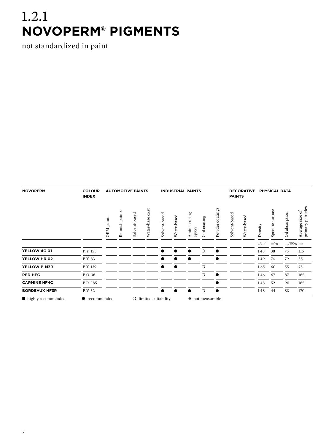# 1.2.1 **Novoperm® pigments**

not standardized in paint

| <b>NOVOPERM</b>      | <b>COLOUR</b><br><b>INDEX</b> | <b>AUTOMOTIVE PAINTS</b><br><b>INDUSTRIAL PAINTS</b> |            |                 |                                |                    |               |             |                          |              |                    | <b>DECORATIVE</b><br><b>PAINTS</b> |             | <b>PHYSICAL DATA</b> |                      |                |                                            |
|----------------------|-------------------------------|------------------------------------------------------|------------|-----------------|--------------------------------|--------------------|---------------|-------------|--------------------------|--------------|--------------------|------------------------------------|-------------|----------------------|----------------------|----------------|--------------------------------------------|
|                      |                               |                                                      | OEM paints | Refinish paints | Solvent-based                  | coat<br>Water-base | Solvent-based | Water-based | curing<br>Amine<br>epoxy | Coil coating | coatings<br>Powder | Solvent-based                      | Water-based | Density              | surface<br>Specific: | Oil absorption | particles<br>size of<br>primary<br>Average |
|                      |                               |                                                      |            |                 |                                |                    |               |             |                          |              |                    |                                    | $g/cm^3$    | $m^2/g$              | $ml/100g$ nm         |                |                                            |
| YELLOW 4G 01         | P.Y. 155                      |                                                      |            |                 |                                |                    |               |             | $\bigcirc$               |              |                    |                                    | 1.45        | 38                   | 75                   | 115            |                                            |
| YELLOW HR 02         | P.Y. 83                       |                                                      |            |                 |                                |                    |               |             |                          |              |                    |                                    | 1.49        | 74                   | 79                   | 55             |                                            |
| YELLOW P-M3R         | P.Y. 139                      |                                                      |            |                 |                                |                    |               |             | $\circ$                  |              |                    |                                    | 1.65        | 60                   | 55                   | 75             |                                            |
| <b>RED HFG</b>       | P.O. 38                       |                                                      |            |                 |                                |                    |               |             | $\bigcirc$               | $\bullet$    |                    |                                    | 1.46        | 67                   | 87                   | 165            |                                            |
| <b>CARMINE HF4C</b>  | P.R. 185                      |                                                      |            |                 |                                |                    |               |             |                          |              |                    |                                    | 1.48        | 52                   | 90                   | 165            |                                            |
| <b>BORDEAUX HF3R</b> | P.V. 32                       |                                                      |            |                 |                                |                    |               |             | $\bigcirc$               |              |                    |                                    | 1.48        | 44                   | 83                   | 170            |                                            |
| highly recommended   | • recommended                 |                                                      |            |                 | $\bigcirc$ limited suitability |                    |               |             | ◆ not measurable         |              |                    |                                    |             |                      |                      |                |                                            |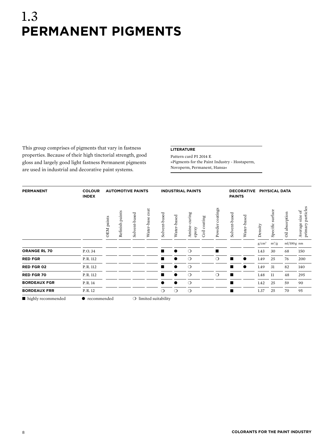### 1.3 **permanent pigments**

This group comprises of pigments that vary in fastness properties. Because of their high tinctorial strength, good gloss and largely good light fastness Permanent pigments are used in industrial and decorative paint systems.

#### **Literature**

Pattern card PI 2014 E »Pigments for the Paint Industry - Hostaperm, Novoperm, Permanent, Hansa«

| <b>PERMANENT</b>    | <b>COLOUR</b><br><b>INDEX</b> |            |                    | <b>AUTOMOTIVE PAINTS</b> |                                |                |             | <b>INDUSTRIAL PAINTS</b>                  |                 | <b>PAINTS</b> | <b>DECORATIVE</b> | PHYSICAL DATA |                      |                |                                                                 |
|---------------------|-------------------------------|------------|--------------------|--------------------------|--------------------------------|----------------|-------------|-------------------------------------------|-----------------|---------------|-------------------|---------------|----------------------|----------------|-----------------------------------------------------------------|
|                     |                               | OEM paints | paints<br>Refinish | Solvent-based            | $\cot$<br>Water-base           | Solvent-based  | Water-based | curing<br>Coil coating<br>Amine-<br>epoxy | Powder coatings | Solvent-based | Water-based       | Density       | surface<br>Specific: | Oil absorption | particles<br>$\mathrm{size}\ \mathrm{of}$<br>primary<br>Average |
|                     |                               |            |                    |                          |                                |                |             |                                           |                 |               |                   | $g/cm^3$      | $m^2/g$              | $ml/100g$ nm   |                                                                 |
| <b>ORANGE RL 70</b> | P.O. 34                       |            |                    |                          |                                | $\blacksquare$ | ∙           | $\circ$                                   | $\blacksquare$  |               |                   | 1.43          | 30                   | 68             | 150                                                             |
| <b>RED FGR</b>      | P.R. 112                      |            |                    |                          |                                | $\blacksquare$ |             | $\circ$                                   | $\circ$         | п             | $\bullet$         | 1.49          | 25                   | 76             | 200                                                             |
| <b>RED FGR 02</b>   | P.R. 112                      |            |                    |                          |                                | ▅              |             | $\circ$                                   |                 | ■             | ●                 | 1.49          | 31                   | 82             | 140                                                             |
| <b>RED FGR 70</b>   | P.R. 112                      |            |                    |                          |                                |                |             | $\circ$                                   | $\circ$         | п             |                   | 1.48          | 11                   | 48             | 295                                                             |
| <b>BORDEAUX FGR</b> | P.R. 14                       |            |                    |                          |                                |                |             | $\circ$                                   |                 | п             |                   | 1.42          | 25                   | 59             | 90                                                              |
| <b>BORDEAUX FRR</b> | P.R. 12                       |            |                    |                          |                                | $\circ$        | $\circ$     | $\circ$                                   |                 | п             |                   | 1.37          | 25                   | 70             | 95                                                              |
| highly recommended  | • recommended                 |            |                    |                          | $\bigcirc$ limited suitability |                |             |                                           |                 |               |                   |               |                      |                |                                                                 |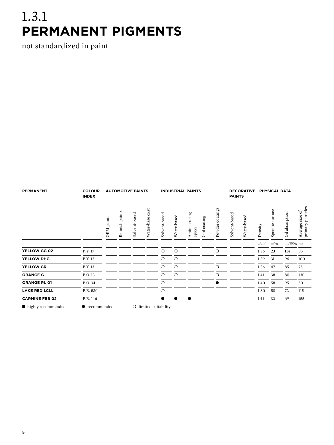## 1.3.1 **permanent pigments**

not standardized in paint

| <b>PERMANENT</b>      | <b>COLOUR</b><br><b>INDEX</b> |            |                 | <b>AUTOMOTIVE PAINTS</b> |                      | <b>INDUSTRIAL PAINTS</b>       | <b>PAINTS</b> | <b>DECORATIVE</b>         |              | <b>PHYSICAL DATA</b> |               |             |          |                      |                |                                            |
|-----------------------|-------------------------------|------------|-----------------|--------------------------|----------------------|--------------------------------|---------------|---------------------------|--------------|----------------------|---------------|-------------|----------|----------------------|----------------|--------------------------------------------|
|                       |                               | OEM paints | Refinish paints | Solvent-based            | $\cot$<br>Water-base | Solvent-based                  | Water-based   | curing<br>Amine-<br>epoxy | Coil coating | Powder coatings      | Solvent-based | Water-based | Density  | surface<br>Specific: | Oil absorption | particles<br>size of<br>primary<br>Average |
|                       |                               |            |                 |                          |                      |                                |               |                           |              |                      |               |             | $g/cm^3$ | $m^2/g$              | $ml/100g$ nm   |                                            |
| YELLOW GG 02          | P.Y. 17                       |            |                 |                          |                      | $\circ$                        | $\circ$       |                           |              | $\circ$              |               |             | 1.36     | 23                   | 114            | 85                                         |
| YELLOW DHG            | P.Y. 12                       |            |                 |                          |                      | $\circ$                        | $\circ$       |                           |              |                      |               |             | 1.39     | 31                   | 96             | 100                                        |
| <b>YELLOW GR</b>      | P.Y. 13                       |            |                 |                          |                      | $\circ$                        | $\circ$       |                           |              | $\circ$              |               |             | 1.36     | 47                   | 85             | 75                                         |
| <b>ORANGE G</b>       | P.O.13                        |            |                 |                          |                      | $\circ$                        | $\circ$       |                           |              | $\circ$              |               |             | 1.41     | 38                   | 80             | 130                                        |
| <b>ORANGE RL 01</b>   | P.O. 34                       |            |                 |                          |                      | $\circ$                        |               |                           |              |                      |               |             | 1.40     | 58                   | 95             | 50                                         |
| <b>LAKE RED LCLL</b>  | P.R. 53:1                     |            |                 |                          |                      | $\circ$                        |               |                           |              |                      |               |             | 1.80     | 58                   | 72             | 115                                        |
| <b>CARMINE FBB 02</b> | P.R. 146                      |            |                 |                          |                      | D                              |               | $\bullet$                 |              |                      |               |             | 1.41     | 32                   | 69             | 155                                        |
| highly recommended    | $\bullet$ recommended         |            |                 |                          |                      | $\bigcirc$ limited suitability |               |                           |              |                      |               |             |          |                      |                |                                            |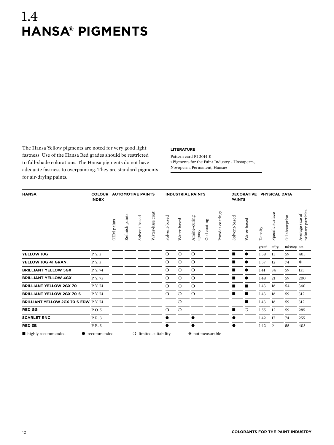### 1.4 **hansa® pigments**

The Hansa Yellow pigments are noted for very good light fastness. Use of the Hansa Red grades should be restricted to full-shade colorations. The Hansa pigments do not have adequate fastness to overpainting. They are standard pigments for air-drying paints.

#### **Literature**

Pattern card PI 2014 E »Pigments for the Paint Industry - Hostaperm, Novoperm, Permanent, Hansa«

| <b>HANSA</b>                         | <b>COLOUR</b><br><b>INDEX</b> |                   | <b>AUTOMOTIVE PAINTS</b> |               |                                |               |             | <b>INDUSTRIAL PAINTS</b>              |                 | <b>PAINTS</b> | <b>DECORATIVE</b> |          | PHYSICAL DATA    |                |                                      |
|--------------------------------------|-------------------------------|-------------------|--------------------------|---------------|--------------------------------|---------------|-------------|---------------------------------------|-----------------|---------------|-------------------|----------|------------------|----------------|--------------------------------------|
|                                      |                               | <b>OEM</b> paints | Refinish paints          | Solvent-based | Water-base coat                | Solvent-based | Water-based | Amine-curing<br>Coil coating<br>epoxy | Powder coatings | Solvent-based | Water-based       | Density  | Specific surface | Oil absorption | primary particles<br>Average size of |
|                                      |                               |                   |                          |               |                                |               |             |                                       |                 |               |                   | $g/cm^3$ | $m^2/g$          | $ml/100g$ nm   |                                      |
| YELLOW 10G                           | P.Y. 3                        |                   |                          |               |                                | $\circ$       | $\circ$     | $\circ$                               |                 |               |                   | 1.58     | 11               | 59             | 405                                  |
| YELLOW 10G 41 GRAN.                  | P.Y. 3                        |                   |                          |               |                                | $\circ$       | $\circ$     | $\circ$                               |                 |               |                   | 1.57     | 12               | 74             | ۰                                    |
| <b>BRILLIANT YELLOW 5GX</b>          | P.Y.74                        |                   |                          |               |                                | $\circ$       | $\circ$     | $\circ$                               |                 |               | $\bullet$         | 1.41     | 34               | 59             | 135                                  |
| <b>BRILLIANT YELLOW 4GX</b>          | P.Y.73                        |                   |                          |               |                                | $\circ$       | $\circ$     | $\circ$                               |                 |               | $\bullet$         | 1.48     | 21               | 59             | 200                                  |
| <b>BRILLIANT YELLOW 2GX 70</b>       | P.Y. 74                       |                   |                          |               |                                | $\circ$       | $\circ$     | $\circ$                               |                 |               | ∎                 | 1.43     | 16               | 54             | 340                                  |
| <b>BRILLIANT YELLOW 2GX 70-S</b>     | P.Y.74                        |                   |                          |               |                                | $\circ$       | $\circ$     | $\circ$                               |                 |               | ∎                 | 1.43     | 16               | 59             | 312                                  |
| BRILLIANT YELLOW 2GX 70-S-EDW P.Y.74 |                               |                   |                          |               |                                |               | $\circ$     |                                       |                 |               | $\blacksquare$    | 1.43     | 16               | 59             | 312                                  |
| <b>RED GG</b>                        | P.O.5                         |                   |                          |               |                                | $\circ$       | $\circ$     |                                       |                 |               | $\circ$           | 1.55     | 12               | 59             | 285                                  |
| <b>SCARLET RNC</b>                   | P.R. 3                        |                   |                          |               |                                |               |             |                                       |                 |               |                   | 1.42     | 17               | 74             | 255                                  |
| <b>RED 3B</b>                        | P.R. 3                        |                   |                          |               |                                |               |             |                                       |                 |               |                   | 1.42     | 9                | 55             | 405                                  |
| lacktriangleright highly recommended | $\bullet$ recommended         |                   |                          |               | $\bigcirc$ limited suitability |               |             | ❖ not measurable                      |                 |               |                   |          |                  |                |                                      |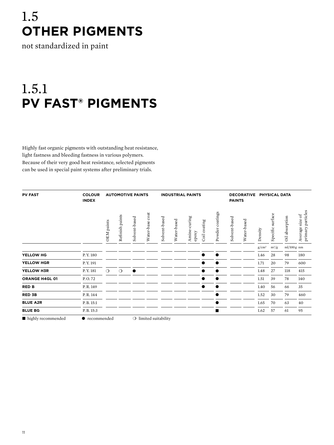# 1.5 **Other pigments**

not standardized in paint

# 1.5.1 **PV Fast® pigments**

Highly fast organic pigments with outstanding heat resistance, light fastness and bleeding fastness in various polymers. Because of their very good heat resistance, selected pigments can be used in special paint systems after preliminary trials.

| <b>PV FAST</b>        | <b>COLOUR</b><br><b>INDEX</b> |            |                 | <b>AUTOMOTIVE PAINTS</b> |                      |                                |             | <b>INDUSTRIAL PAINTS</b>  |              |                    | <b>PAINTS</b> | <b>DECORATIVE</b> |          | <b>PHYSICAL DATA</b>  |                |                                         |
|-----------------------|-------------------------------|------------|-----------------|--------------------------|----------------------|--------------------------------|-------------|---------------------------|--------------|--------------------|---------------|-------------------|----------|-----------------------|----------------|-----------------------------------------|
|                       |                               | OEM paints | Refinish paints | Solvent-based            | $\cot$<br>Water-base | Solvent-based                  | Water-based | curing<br>Amine-<br>epoxy | Coil coating | coatings<br>Powder | Solvent-based | Water-based       | Density  | surface<br>Specific s | Oil absorption | primary particles<br>size of<br>Average |
|                       |                               |            |                 |                          |                      |                                |             |                           |              |                    |               |                   | $g/cm^3$ | $m^2/g$               | $ml/100g$ nm   |                                         |
| YELLOW HG             | P.Y. 180                      |            |                 |                          |                      |                                |             |                           | ●            | $\bullet$          |               |                   | 1.46     | 28                    | 98             | 180                                     |
| YELLOW HGR            | P.Y. 191                      |            |                 |                          |                      |                                |             |                           |              |                    |               |                   | 1.71     | 20                    | 79             | 600                                     |
| YELLOW H3R            | P.Y. 181                      | $\circ$    | $\circ$         | $\bullet$                |                      |                                |             |                           |              |                    |               |                   | 1.48     | 27                    | 118            | 415                                     |
| <b>ORANGE H4GL 01</b> | P.O.72                        |            |                 |                          |                      |                                |             |                           |              |                    |               |                   | 1.51     | 39                    | 78             | 140                                     |
| <b>RED B</b>          | P.R. 149                      |            |                 |                          |                      |                                |             |                           |              |                    |               |                   | 1.40     | 56                    | 66             | 35                                      |
| <b>RED 3B</b>         | P.R. 144                      |            |                 |                          |                      |                                |             |                           |              |                    |               |                   | 1.52     | 30                    | 79             | 460                                     |
| <b>BLUE A2R</b>       | P.B. 15:1                     |            |                 |                          |                      |                                |             |                           |              |                    |               |                   | 1.65     | 70                    | 63             | 40                                      |
| <b>BLUE BG</b>        | P.B. 15:3                     |            |                 |                          |                      |                                |             |                           |              | п                  |               |                   | 1.62     | 57                    | 61             | 95                                      |
| highly recommended    | $\bullet$ recommended         |            |                 |                          |                      | $\bigcirc$ limited suitability |             |                           |              |                    |               |                   |          |                       |                |                                         |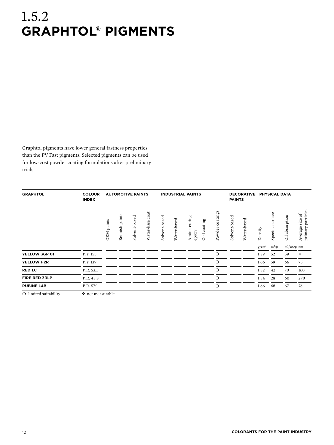## 1.5.2 **Graphtol® pigments**

Graphtol pigments have lower general fastness properties than the PV Fast pigments. Selected pigments can be used for low-cost powder coating formulations after preliminary trials.

| <b>GRAPHTOL</b>                | <b>COLOUR</b><br><b>INDEX</b> |            |                 | <b>AUTOMOTIVE PAINTS</b> |                      |               |             | <b>INDUSTRIAL PAINTS</b> |              |                    | <b>PAINTS</b> | <b>DECORATIVE</b> |          | PHYSICAL DATA       |                |                                                     |
|--------------------------------|-------------------------------|------------|-----------------|--------------------------|----------------------|---------------|-------------|--------------------------|--------------|--------------------|---------------|-------------------|----------|---------------------|----------------|-----------------------------------------------------|
|                                |                               | OEM paints | Refinish paints | Solvent-based            | $\cot$<br>Water-base | Solvent-based | Water-based | uring<br>Amine-<br>epoxy | Coil coating | coatings<br>Powder | Solvent-based | Water-based       | Density  | surface<br>Specific | Oil absorption | primary particles<br>$_{\rm bf}$<br>size<br>Average |
|                                |                               |            |                 |                          |                      |               |             |                          |              |                    |               |                   | $g/cm^3$ | $m^2/g$             | $ml/100g$ nm   |                                                     |
| YELLOW 3GP 01                  | P.Y. 155                      |            |                 |                          |                      |               |             |                          |              | $\circ$            |               |                   | 1.39     | 52                  | 59             | ٠                                                   |
| YELLOW H2R                     | P.Y. 139                      |            |                 |                          |                      |               |             |                          |              | $\circ$            |               |                   | 1.66     | 59                  | 66             | 75                                                  |
| <b>RED LC</b>                  | P.R. 53:1                     |            |                 |                          |                      |               |             |                          |              | $\circ$            |               |                   | 1.82     | 42                  | 70             | 160                                                 |
| <b>FIRE RED 3RLP</b>           | P.R. 48:3                     |            |                 |                          |                      |               |             |                          |              | $\circ$            |               |                   | 1.84     | 28                  | 60             | 270                                                 |
| <b>RUBINE L4B</b>              | P.R. 57:1                     |            |                 |                          |                      |               |             |                          |              | $\circ$            |               |                   | 1.66     | 68                  | 67             | 76                                                  |
| $\bigcirc$ limited suitability | ◆ not measurable              |            |                 |                          |                      |               |             |                          |              |                    |               |                   |          |                     |                |                                                     |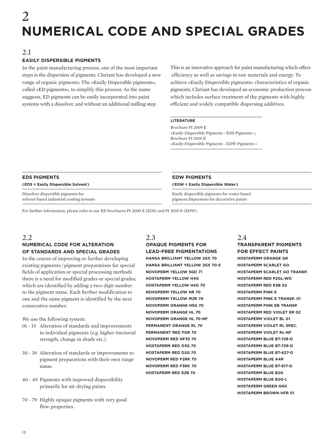# 2 **Numerical code and special grades**

#### 2.1

#### **Easily dispersible pigments**

In the paint manufacturing process, one of the most important steps is the dispersion of pigments. Clariant has developed a new range of organic pigments: The »Easily Dispersible pigments«, called »ED pigments«, to simplify this process. As the name suggests, ED pigments can be easily incorporated into paint systems with a dissolver, and without an additional milling step.

This is an innovative approach for paint manufacturing which offers efficiency as well as savings in raw materials and energy. To achieve »Easily Dispersible pigments« characteristics of organic pigments, Clariant has developed an economic production process which includes surface treatment of the pigments with highly efficient and widely compatible dispersing additives.

#### **Literature**

Brochure PI 2009 E »Easily Dispersible Pigments - EDS Pigments «, Brochure PI 2010 E »Easily Dispersible Pigments - EDW Pigments «

| <b>EDS PIGMENTS</b>                                                            |  |
|--------------------------------------------------------------------------------|--|
| (EDS = Easily Dispersible Solvent)                                             |  |
| Dissolver dispersible pigments for<br>solvent-based industrial coating systems |  |

#### **EDW Pigments ( EDW = Easily Dispersible Water )**

Easily dispersible pigments for water-based pigment dispersions for decorative paints

For further information, please refer to our ED brochures PI 2009 E (EDS) and PI 2010 E (EDW).

#### 2.2 **Numerical code for alteration of standards and special grades**

In the course of improving or further developing existing pigments / pigment preparations for special fields of application or special processing methods there is a need for modified grades or special grades, which are identified by adding a two-digit number to the pigment name. Each further modification to one and the same pigment is identified by the next consecutive number.

We use the following system:

- 01 19 Alteration of standards and improvements to individual pigments (e.g. higher tinctorial strength, change in shade etc.).
- 30 39 Alteration of standards or improvements to pigment preparations with their own range name.
- 40 49 Pigments with improved dispersibility primarily for air-drying paints.
- 70 79 Highly opaque pigments with very good flow properties.

2.3 **Opaque pigments for lead-free pigmentations Hansa Brilliant Yellow 2GX 70 Hansa Brilliant Yellow 2GX 70-S Novoperm Yellow 5GD 71 Hostaperm Yellow H4G Hostaperm Yellow H4G 70 Novoperm Yellow HR 70 Novoperm Yellow M2R 70 Novoperm Orange H5G 70 Novoperm Orange HL 70 Novoperm Orange HL 70-NF Permanent Orange RL 70 Permanent Red FGR 70 Novoperm Red HF3S 70 Hostaperm Red D3G 70 Hostaperm Red D2G 70 Novoperm Red F2RK 70 Novoperm Red F3RK 70 Hostaperm Red E2B 70**

#### 2.4

**Transparent pigments for effect paints Hostaperm Orange GR Hostaperm Scarlet GO Hostaperm Scarlet GO transp. Hostaperm Red P2GL-WD Hostaperm Red E5B 02 Hostaperm Pink E Hostaperm Pink E transp. 01 Hostaperm Pink EB transp. Hostaperm Red Violet ER 02 Hostaperm Violet BL 01 Hostaperm Violet RL spec. Hostaperm Violet RL-NF Hostaperm Blue BT-728-D Hostaperm Blue BT-729-D Hostaperm Blue BT-627-D Hostaperm Blue A4R Hostaperm Blue BT-617-D Hostaperm Blue B2G Hostaperm Blue B2G-L Hostaperm Green GNX Hostaperm Brown HFR 01**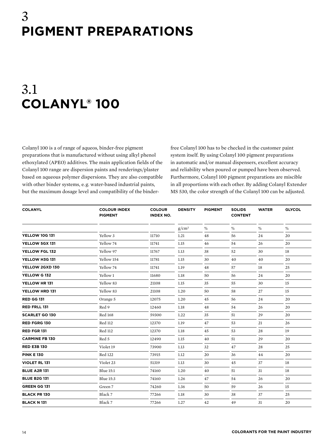### 3 **pigment preparations**

# 3.1 **Colanyl® 100**

Colanyl 100 is a of range of aqueos, binder-free pigment preparations that is manufactured without using alkyl phenol ethoxylated (APEO) additives. The main application fields of the Colanyl 100 range are dispersion paints and renderings/plaster based on aqueous polymer dispersions. They are also compatible with other binder systems, e. g. water-based industrial paints, but the maximum dosage level and compatibility of the binderfree Colanyl 100 has to be checked in the customer paint system itself. By using Colanyl 100 pigment preparations in automatic and/or manual dispensers, excellent accuracy and reliability when poured or pumped have been observed. Furthermore, Colanyl 100 pigment preparations are miscible in all proportions with each other. By adding Colanyl Extender MS 530, the color strength of the Colanyl 100 can be adjusted.

| <b>COLANYL</b>        | <b>COLOUR INDEX</b><br><b>PIGMENT</b> | <b>COLOUR</b><br><b>INDEX NO.</b> | <b>DENSITY</b> | <b>PIGMENT</b> | <b>SOLIDS</b><br><b>CONTENT</b> | <b>WATER</b> | <b>GLYCOL</b> |
|-----------------------|---------------------------------------|-----------------------------------|----------------|----------------|---------------------------------|--------------|---------------|
|                       |                                       |                                   | $g/cm^3$       | $\%$           | $\%$                            | $\%$         | $\%$          |
| <b>YELLOW 10G 131</b> | Yellow 3                              | 11710                             | 1.21           | 48             | 56                              | 24           | 20            |
| YELLOW 5GX 131        | Yellow 74                             | 11741                             | 1.15           | 46             | 54                              | 26           | 20            |
| YELLOW FGL 132        | Yellow 97                             | 11767                             | 1.13           | 38             | 52                              | 30           | 18            |
| YELLOW H3G 131        | Yellow 154                            | 11781                             | 1.15           | 30             | 40                              | 40           | 20            |
| YELLOW 2GXD 130       | Yellow 74                             | 11741                             | 1.19           | 48             | 57                              | 18           | 25            |
| YELLOW G 132          | Yellow 1                              | 11680                             | 1.18           | 50             | 56                              | 24           | 20            |
| YELLOW HR 131         | Yellow 83                             | 21108                             | 1.15           | 35             | 55                              | 30           | 15            |
| YELLOW HRD 131        | Yellow 83                             | 21108                             | 1.20           | 50             | 58                              | 27           | 15            |
| <b>RED GG 131</b>     | Orange 5                              | 12075                             | 1.20           | 45             | 56                              | 24           | 20            |
| <b>RED FRLL 131</b>   | Red 9                                 | 12460                             | 1.18           | 48             | 54                              | 26           | 20            |
| <b>SCARLET GO 130</b> | <b>Red 168</b>                        | 59300                             | 1.22           | 35             | 51                              | 29           | 20            |
| RED FGRG 130          | Red 112                               | 12370                             | 1.19           | 47             | 53                              | 21           | 26            |
| <b>RED FGR 131</b>    | <b>Red 112</b>                        | 12370                             | 1.18           | 45             | 53                              | 28           | 19            |
| <b>CARMINE FB 130</b> | Red 5                                 | 12490                             | 1.15           | 40             | 51                              | 29           | 20            |
| <b>RED E3B 130</b>    | Violet 19                             | 73900                             | 1.13           | 32             | 47                              | 28           | 25            |
| <b>PINK E 130</b>     | <b>Red 122</b>                        | 73915                             | 1.12           | 20             | 36                              | 44           | 20            |
| <b>VIOLET RL 131</b>  | Violet 23                             | 51319                             | 1.13           | 30             | 45                              | 37           | 18            |
| <b>BLUE A2R 131</b>   | <b>Blue 15:1</b>                      | 74160                             | 1.20           | 40             | 51                              | 31           | 18            |
| <b>BLUE B2G 131</b>   | <b>Blue 15:3</b>                      | 74160                             | 1.26           | 47             | 54                              | 26           | 20            |
| <b>GREEN GG 131</b>   | Green 7                               | 74260                             | 1.36           | 50             | 59                              | 26           | 15            |
| <b>BLACK PR 130</b>   | Black 7                               | 77266                             | 1.18           | 30             | 38                              | 37           | 25            |
| <b>BLACK N131</b>     | Black 7                               | 77266                             | 1.27           | 42             | 49                              | 31           | 20            |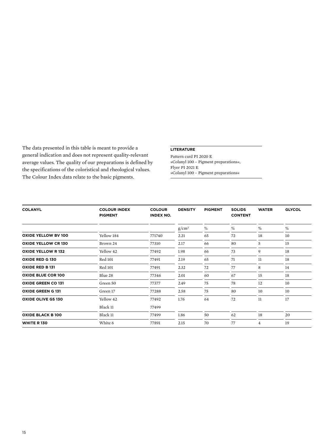The data presented in this table is meant to provide a general indication and does not represent quality-relevant average values. The quality of our preparations is defined by the specifications of the coloristical and rheological values. The Colour Index data relate to the basic pigments.

#### **Literature**

Pattern card PI 2020 E »Colanyl 100 – Pigment preparations«, Flyer PI 2021 E »Colanyl 100 – Pigment preparations«

| <b>COLANYL</b>             | <b>COLOUR INDEX</b><br><b>PIGMENT</b> | <b>COLOUR</b><br><b>INDEX NO.</b> | <b>DENSITY</b> | <b>PIGMENT</b> | <b>SOLIDS</b><br><b>CONTENT</b> | <b>WATER</b> | <b>GLYCOL</b> |
|----------------------------|---------------------------------------|-----------------------------------|----------------|----------------|---------------------------------|--------------|---------------|
|                            |                                       |                                   | $g/cm^3$       | $\%$           | $\%$                            | $\%$         | $\%$          |
| <b>OXIDE YELLOW BV 100</b> | Yellow 184                            | 771740                            | 2.21           | 65             | 72                              | 18           | 10            |
| <b>OXIDE YELLOW CR 130</b> | Brown 24                              | 77310                             | 2.17           | 66             | 80                              | 5            | 15            |
| <b>OXIDE YELLOW R132</b>   | Yellow 42                             | 77492                             | 1.98           | 66             | 73                              | 9            | 18            |
| <b>OXIDE RED G 130</b>     | <b>Red 101</b>                        | 77491                             | 2.19           | 65             | 71                              | 11           | 18            |
| <b>OXIDE RED B 131</b>     | Red 101                               | 77491                             | 2.32           | 72             | 77                              | 8            | 14            |
| <b>OXIDE BLUE COR 100</b>  | Blue 28                               | 77346                             | 2.01           | 60             | 67                              | 15           | 18            |
| <b>OXIDE GREEN CO 131</b>  | Green 50                              | 77377                             | 2.49           | 75             | 78                              | 12           | 10            |
| <b>OXIDE GREEN G 131</b>   | Green 17                              | 77288                             | 2.58           | 75             | 80                              | 10           | 10            |
| <b>OXIDE OLIVE GS 130</b>  | Yellow 42                             | 77492                             | 1.76           | 64             | 72                              | 11           | 17            |
|                            | Black 11                              | 77499                             |                |                |                                 |              |               |
| <b>OXIDE BLACK B 100</b>   | Black 11                              | 77499                             | 1.86           | 50             | 62                              | 18           | 20            |
| <b>WHITE R 130</b>         | White 6                               | 77891                             | 2.15           | 70             | 77                              | 4            | 19            |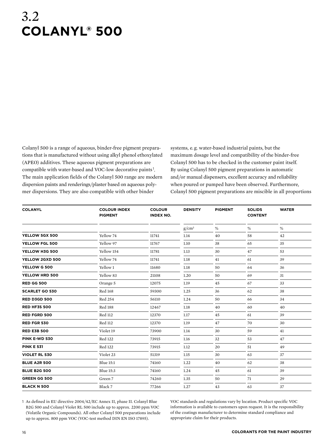### 3.2 **Colanyl® 500**

Colanyl 500 is a range of aqueous, binder-free pigment preparations that is manufactured without using alkyl phenol ethoxylated (APEO) additives. These aqueous pigment preparations are compatible with water-based and VOC-low decorative paints <sup>1</sup> . The main application fields of the Colanyl 500 range are modern dispersion paints and renderings/plaster based on aqueous polymer dispersions. They are also compatible with other binder

systems, e. g. water-based industrial paints, but the maximum dosage level and compatibility of the binder-free Colanyl 500 has to be checked in the customer paint itself. By using Colanyl 500 pigment preparations in automatic and/or manual dispensers, excellent accuracy and reliability when poured or pumped have been observed. Furthermore, Colanyl 500 pigment preparations are miscible in all proportions

| <b>COLANYL</b>        | <b>COLOUR INDEX</b><br><b>PIGMENT</b> | <b>COLOUR</b><br><b>INDEX NO.</b> | <b>DENSITY</b> | <b>PIGMENT</b> | <b>SOLIDS</b><br><b>CONTENT</b> | <b>WATER</b> |
|-----------------------|---------------------------------------|-----------------------------------|----------------|----------------|---------------------------------|--------------|
|                       |                                       |                                   | $g/cm^3$       | $\%$           | $\%$                            | $\%$         |
| YELLOW 5GX 500        | Yellow 74                             | 11741                             | 1.14           | 40             | 58                              | 42           |
| YELLOW FGL 500        | Yellow 97                             | 11767                             | 1.10           | 38             | 65                              | 35           |
| YELLOW H3G 500        | Yellow 154                            | 11781                             | 1.13           | 30             | 47                              | 53           |
| YELLOW 2GXD 500       | Yellow 74                             | 11741                             | 1.18           | 41             | 61                              | 39           |
| YELLOW G 500          | Yellow 1                              | 11680                             | $1.18\,$       | 50             | 64                              | 36           |
| YELLOW HRD 500        | Yellow 83                             | 21108                             | 1.20           | 50             | 69                              | 31           |
| <b>RED GG 500</b>     | Orange 5                              | 12075                             | 1.19           | 45             | 67                              | 33           |
| <b>SCARLET GO 530</b> | <b>Red 168</b>                        | 59300                             | 1.25           | 36             | 62                              | 38           |
| <b>RED D3GD 500</b>   | <b>Red 254</b>                        | 56110                             | 1.24           | 50             | 66                              | 34           |
| <b>RED HF3S 500</b>   | <b>Red 188</b>                        | 12467                             | 1.18           | 40             | 60                              | 40           |
| <b>RED FGRD 500</b>   | Red 112                               | 12370                             | 1.17           | 45             | 61                              | 39           |
| <b>RED FGR 530</b>    | Red 112                               | 12370                             | 1.19           | 47             | 70                              | 30           |
| <b>RED E3B 500</b>    | Violet 19                             | 73900                             | 1.14           | 30             | 59                              | 41           |
| <b>PINK E-WD 530</b>  | <b>Red 122</b>                        | 73915                             | 1.16           | 32             | 53                              | 47           |
| <b>PINK E 531</b>     | <b>Red 122</b>                        | 73915                             | 1.12           | 20             | 51                              | 49           |
| <b>VIOLET RL 530</b>  | Violet 23                             | 51319                             | 1.15           | 30             | 63                              | 37           |
| <b>BLUE A2R 500</b>   | <b>Blue 15:1</b>                      | 74160                             | 1.22           | 40             | 62                              | 38           |
| <b>BLUE B2G 500</b>   | Blue 15:3                             | 74160                             | 1.24           | 45             | 61                              | 39           |
| <b>GREEN GG 500</b>   | Green 7                               | 74260                             | 1.35           | 50             | 71                              | 29           |
| <b>BLACK N 500</b>    | Black 7                               | 77266                             | 1.27           | 43             | 63                              | 37           |

1 As defined in EU directive 2004/42/EC Annex II, phase II. Colanyl Blue B2G 500 and Colanyl Violet RL 500 include up to approx. 2200 ppm VOC (Volatile Organic Compounds). All other Colanyl 500 preparations include up to approx. 800 ppm VOC (VOC-test method DIN EN ISO 17895).

VOC standards and regulations vary by location. Product specific VOC information is available to customers upon request. It is the responsibility of the coatings manufacturer to determine standard compliance and appropriate claim for their products.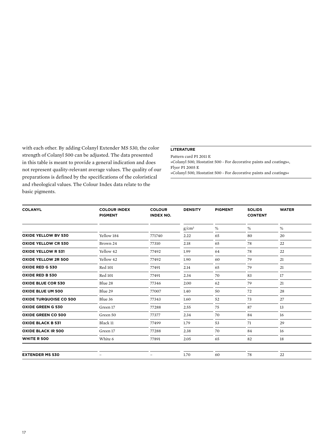with each other. By adding Colanyl Extender MS 530, the color strength of Colanyl 500 can be adjusted. The data presented in this table is meant to provide a general indication and does not represent quality-relevant average values. The quality of our preparations is defined by the specifications of the coloristical and rheological values. The Colour Index data relate to the basic pigments.

#### **Literature**

Pattern card PI 2011 E »Colanyl 500, Hostatint 500 - For decorative paints and coatings«, Flyer PI 2005 E »Colanyl 500, Hostatint 500 - For decorative paints and coatings«

| <b>COLANYL</b>                | <b>COLOUR INDEX</b><br><b>PIGMENT</b> | <b>COLOUR</b><br><b>INDEX NO.</b> | <b>DENSITY</b> | <b>PIGMENT</b> | <b>SOLIDS</b><br><b>CONTENT</b> | <b>WATER</b> |
|-------------------------------|---------------------------------------|-----------------------------------|----------------|----------------|---------------------------------|--------------|
|                               |                                       |                                   | $g/cm^3$       | $\%$           | $\%$                            | $\%$         |
| <b>OXIDE YELLOW BV 530</b>    | Yellow 184                            | 771740                            | 2.22           | 65             | 80                              | 20           |
| <b>OXIDE YELLOW CR 530</b>    | Brown 24                              | 77310                             | 2.18           | 65             | 78                              | 22           |
| <b>OXIDE YELLOW R 531</b>     | Yellow 42                             | 77492                             | 1.99           | 64             | 78                              | 22           |
| OXIDE YELLOW 2R 500           | Yellow 42                             | 77492                             | 1.90           | 60             | 79                              | 21           |
| OXIDE RED G 530               | <b>Red 101</b>                        | 77491                             | 2.14           | 65             | 79                              | 21           |
| <b>OXIDE RED B 530</b>        | <b>Red 101</b>                        | 77491                             | 2.34           | 70             | 83                              | 17           |
| <b>OXIDE BLUE COR 530</b>     | Blue 28                               | 77346                             | 2.00           | 62             | 79                              | 21           |
| <b>OXIDE BLUE UM 500</b>      | Blue 29                               | 77007                             | 1.40           | 50             | 72                              | 28           |
| <b>OXIDE TURQUOISE CO 500</b> | Blue 36                               | 77343                             | 1.60           | 52             | 73                              | 27           |
| <b>OXIDE GREEN G 530</b>      | Green 17                              | 77288                             | 2.55           | 75             | 87                              | 13           |
| <b>OXIDE GREEN CO 500</b>     | Green 50                              | 77377                             | 2.34           | 70             | 84                              | 16           |
| <b>OXIDE BLACK B 531</b>      | Black 11                              | 77499                             | 1.79           | 53             | 71                              | 29           |
| <b>OXIDE BLACK IR 500</b>     | Green 17                              | 77288                             | 2.38           | 70             | 84                              | 16           |
| <b>WHITE R 500</b>            | White 6                               | 77891                             | 2.05           | 65             | 82                              | 18           |
| <b>EXTENDER MS 530</b>        | -                                     |                                   | 1.70           | 60             | 78                              | 22           |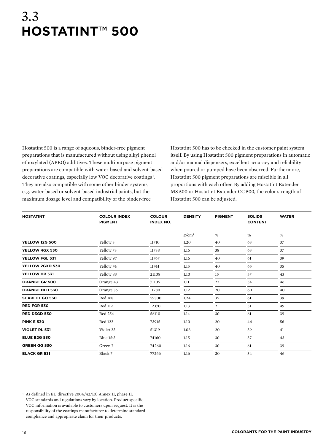### 3.3 **Hostatint**™ **500**

Hostatint 500 is a range of aqueous, binder-free pigment preparations that is manufactured without using alkyl phenol ethoxylated (APEO) additives. These multipurpose pigment preparations are compatible with water-based and solvent-based decorative coatings, especially low VOC decorative coatings <sup>1</sup> . They are also compatible with some other binder systems, e. g. water-based or solvent-based industrial paints, but the maximum dosage level and compatibility of the binder-free

Hostatint 500 has to be checked in the customer paint system itself. By using Hostatint 500 pigment preparations in automatic and/or manual dispensers, excellent accuracy and reliability when poured or pumped have been observed. Furthermore, Hostatint 500 pigment preparations are miscible in all proportions with each other. By adding Hostatint Extender MS 500 or Hostatint Extender CC 500, the color strength of Hostatint 500 can be adjusted.

| <b>HOSTATINT</b>      | <b>COLOUR INDEX</b><br><b>PIGMENT</b> | <b>COLOUR</b><br><b>INDEX NO.</b> | <b>DENSITY</b> | <b>PIGMENT</b> | <b>SOLIDS</b><br><b>CONTENT</b> | <b>WATER</b> |
|-----------------------|---------------------------------------|-----------------------------------|----------------|----------------|---------------------------------|--------------|
|                       |                                       |                                   | $g/cm^3$       | $\%$           | $\%$                            | $\%$         |
| <b>YELLOW 12G 500</b> | Yellow 3                              | 11710                             | 1.20           | 40             | 63                              | 37           |
| YELLOW 4GX 530        | Yellow 73                             | 11738                             | 1.16           | 38             | 63                              | 37           |
| YELLOW FGL 531        | Yellow 97                             | 11767                             | 1.16           | 40             | 61                              | 39           |
| YELLOW 2GXD 530       | Yellow 74                             | 11741                             | 1.15           | 40             | 65                              | 35           |
| YELLOW HR 531         | Yellow 83                             | 21108                             | 1.10           | 15             | 57                              | 43           |
| <b>ORANGE GR 500</b>  | Orange 43                             | 71105                             | 1.11           | 22             | 54                              | 46           |
| <b>ORANGE HLD 530</b> | Orange 36                             | 11780                             | 1.12           | 20             | 60                              | 40           |
| <b>SCARLET GO 530</b> | <b>Red 168</b>                        | 59300                             | 1.24           | 35             | 61                              | 39           |
| <b>RED FGR 530</b>    | <b>Red 112</b>                        | 12370                             | 1.13           | 21             | 51                              | 49           |
| <b>RED D3GD 530</b>   | <b>Red 254</b>                        | 56110                             | 1.14           | 30             | 61                              | 39           |
| <b>PINK E 530</b>     | <b>Red 122</b>                        | 73915                             | 1.10           | 20             | 44                              | 56           |
| <b>VIOLET RL 531</b>  | Violet 23                             | 51319                             | 1.08           | 20             | 59                              | 41           |
| <b>BLUE B2G 530</b>   | <b>Blue 15:3</b>                      | 74160                             | 1.15           | 30             | 57                              | 43           |
| <b>GREEN GG 530</b>   | Green 7                               | 74260                             | 1.16           | 30             | 61                              | 39           |
| <b>BLACK GR 531</b>   | Black 7                               | 77266                             | 1.16           | 20             | 54                              | 46           |

<sup>1</sup> As defined in EU directive 2004/42/EC Annex II, phase II. VOC standards and regulations vary by location. Product specific VOC information is available to customers upon request. It is the responsibility of the coatings manufacturer to determine standard compliance and appropriate claim for their products.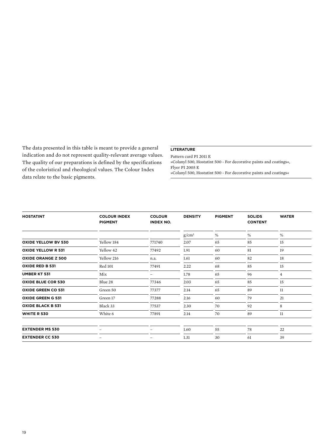The data presented in this table is meant to provide a general indication and do not represent quality-relevant average values. The quality of our preparations is defined by the specifications of the coloristical and rheological values. The Colour Index data relate to the basic pigments.

#### **Literature**

Pattern card PI 2011 E »Colanyl 500, Hostatint 500 - For decorative paints and coatings«, Flyer PI 2005 E »Colanyl 500, Hostatint 500 - For decorative paints and coatings«

| <b>HOSTATINT</b>           | <b>COLOUR INDEX</b><br><b>PIGMENT</b> | <b>COLOUR</b><br><b>INDEX NO.</b> | <b>DENSITY</b> | <b>PIGMENT</b> | <b>SOLIDS</b><br><b>CONTENT</b> | <b>WATER</b>   |
|----------------------------|---------------------------------------|-----------------------------------|----------------|----------------|---------------------------------|----------------|
|                            |                                       |                                   | $g/cm^3$       | %              | %                               | $\%$           |
| <b>OXIDE YELLOW BV 530</b> | Yellow 184                            | 771740                            | 2.07           | 65             | 85                              | 15             |
| <b>OXIDE YELLOW R 531</b>  | Yellow 42                             | 77492                             | 1.91           | 60             | 81                              | 19             |
| <b>OXIDE ORANGE Z 500</b>  | Yellow 216                            | n.a.                              | 1.61           | 60             | 82                              | 18             |
| <b>OXIDE RED B 531</b>     | <b>Red 101</b>                        | 77491                             | 2.22           | 68             | 85                              | 15             |
| <b>UMBER KT 531</b>        | Mix                                   |                                   | 1.78           | 65             | 96                              | $\overline{4}$ |
| <b>OXIDE BLUE COR 530</b>  | Blue 28                               | 77346                             | 2.03           | 65             | 85                              | 15             |
| <b>OXIDE GREEN CO 531</b>  | Green 50                              | 77377                             | 2.14           | 65             | 89                              | 11             |
| <b>OXIDE GREEN G 531</b>   | Green 17                              | 77288                             | 2.16           | 60             | 79                              | 21             |
| <b>OXIDE BLACK B 531</b>   | Black 33                              | 77537                             | 2.30           | 70             | 92                              | 8              |
| <b>WHITE R 530</b>         | White 6                               | 77891                             | 2.14           | 70             | 89                              | 11             |
| <b>EXTENDER MS 530</b>     | -                                     | -                                 | 1.60           | 55             | 78                              | 22             |
| <b>EXTENDER CC 530</b>     |                                       |                                   | 1.31           | 30             | 61                              | 39             |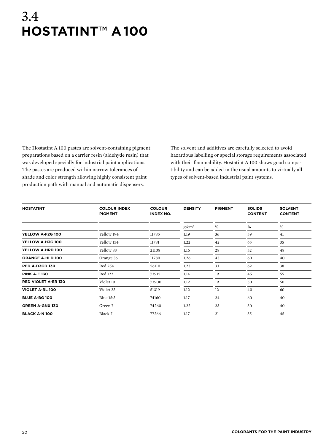## 3.4 **Hostatint**™ **a 100**

The Hostatint A 100 pastes are solvent-containing pigment preparations based on a carrier resin (aldehyde resin) that was developed specially for industrial paint applications. The pastes are produced within narrow tolerances of shade and color strength allowing highly consistent paint production path with manual and automatic dispensers.

The solvent and additives are carefully selected to avoid hazardous labelling or special storage requirements associated with their flammability. Hostatint A 100 shows good compatibility and can be added in the usual amounts to virtually all types of solvent-based industrial paint systems.

| <b>HOSTATINT</b>           | <b>COLOUR INDEX</b><br><b>PIGMENT</b> | <b>COLOUR</b><br><b>INDEX NO.</b> | <b>DENSITY</b> | <b>PIGMENT</b> | <b>SOLIDS</b><br><b>CONTENT</b> | <b>SOLVENT</b><br><b>CONTENT</b> |
|----------------------------|---------------------------------------|-----------------------------------|----------------|----------------|---------------------------------|----------------------------------|
|                            |                                       |                                   | $g/cm^3$       | $\%$           | $\%$                            | $\%$                             |
| YELLOW A-F2G 100           | Yellow 194                            | 11785                             | 1.19           | 36             | 59                              | 41                               |
| YELLOW A-H3G 100           | Yellow 154                            | 11781                             | 1.22           | 42             | 65                              | 35                               |
| YELLOW A-HRD 100           | Yellow 83                             | 21108                             | 1.16           | 28             | 52                              | 48                               |
| <b>ORANGE A-HLD 100</b>    | Orange 36                             | 11780                             | 1.26           | 43             | 60                              | 40                               |
| <b>RED A-D3GD 130</b>      | <b>Red 254</b>                        | 56110                             | 1.23           | 33             | 62                              | 38                               |
| <b>PINK A-E 130</b>        | Red 122                               | 73915                             | 1.14           | 19             | 45                              | 55                               |
| <b>RED VIOLET A-ER 130</b> | Violet 19                             | 73900                             | 1.12           | 19             | 50                              | 50                               |
| <b>VIOLET A-RL 100</b>     | Violet 23                             | 51319                             | 1.12           | 12             | 40                              | 60                               |
| <b>BLUE A-BG 100</b>       | Blue 15:3                             | 74160                             | 1.17           | 24             | 60                              | 40                               |
| <b>GREEN A-GNX 130</b>     | Green 7                               | 74260                             | 1.22           | 23             | 50                              | 40                               |
| <b>BLACK A-N 100</b>       | Black 7                               | 77266                             | 1.17           | 21             | 55                              | 45                               |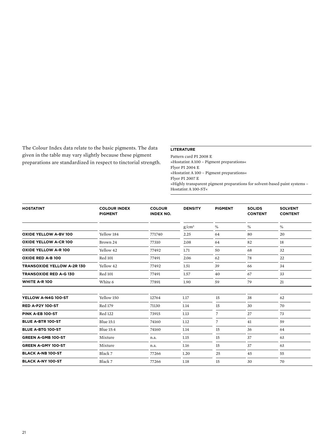The Colour Index data relate to the basic pigments. The data given in the table may vary slightly because these pigment preparations are standardized in respect to tinctorial strength.

#### **Literature**

Pattern card PI 2008 E »Hostatint A 100 – Pigment preparations« Flyer PI 2004 E »Hostatint A 100 – Pigment preparations« Flyer PI 2007 E »Highly transparent pigment preparations for solvent-based paint systems – Hostatint A 100-ST«

| <b>HOSTATINT</b>                  | <b>COLOUR INDEX</b><br><b>PIGMENT</b> | <b>COLOUR</b><br><b>INDEX NO.</b> | <b>DENSITY</b> | <b>PIGMENT</b> | <b>SOLIDS</b><br><b>CONTENT</b> | <b>SOLVENT</b><br><b>CONTENT</b> |
|-----------------------------------|---------------------------------------|-----------------------------------|----------------|----------------|---------------------------------|----------------------------------|
|                                   |                                       |                                   | $g/cm^3$       | $\%$           | $\%$                            | $\%$                             |
| <b>OXIDE YELLOW A-BV 100</b>      | Yellow 184                            | 771740                            | 2.25           | 64             | 80                              | 20                               |
| <b>OXIDE YELLOW A-CR 100</b>      | Brown 24                              | 77310                             | 2.08           | 64             | 82                              | 18                               |
| <b>OXIDE YELLOW A-R 100</b>       | Yellow 42                             | 77492                             | 1.71           | 50             | 68                              | 32                               |
| OXIDE RED A-B 100                 | <b>Red 101</b>                        | 77491                             | 2.06           | 62             | 78                              | 22                               |
| <b>TRANSOXIDE YELLOW A-2R 130</b> | Yellow 42                             | 77492                             | 1.51           | 39             | 66                              | 34                               |
| <b>TRANSOXIDE RED A-G 130</b>     | <b>Red 101</b>                        | 77491                             | 1.57           | 40             | 67                              | 33                               |
| <b>WHITE A-R 100</b>              | White 6                               | 77891                             | 1.90           | 59             | 79                              | 21                               |
| YELLOW A-N4G 100-ST               | Yellow 150                            | 12764                             | 1.17           | 15             | 38                              | 62                               |
| <b>RED A-P2Y 100-ST</b>           | Red 179                               | 71130                             | 1.14           | 15             | 30                              | 70                               |
| PINK A-EB 100-ST                  | <b>Red 122</b>                        | 73915                             | 1.13           | 7              | 27                              | 73                               |
| <b>BLUE A-BTR 100-ST</b>          | <b>Blue 15:1</b>                      | 74160                             | 1.12           | 7              | 41                              | 59                               |
| <b>BLUE A-BTG 100-ST</b>          | <b>Blue 15:4</b>                      | 74160                             | 1.14           | 15             | 36                              | 64                               |
| <b>GREEN A-GMB 100-ST</b>         | Mixture                               | n.a.                              | 1.15           | 15             | 37                              | 63                               |
| <b>GREEN A-GMY 100-ST</b>         | Mixture                               | n.a.                              | 1.16           | 15             | 37                              | 63                               |
| <b>BLACK A-NB 100-ST</b>          | Black 7                               | 77266                             | 1.20           | 25             | 45                              | 55                               |
| <b>BLACK A-NY 100-ST</b>          | Black 7                               | 77266                             | 1.18           | 15             | 30                              | 70                               |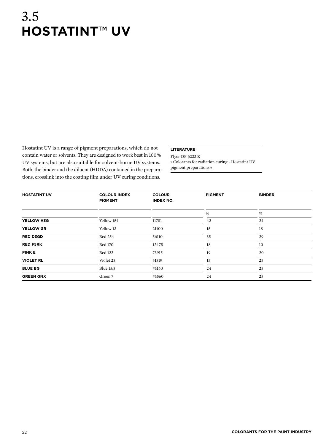## 3.5 **Hostatint**™ **UV**

Hostatint UV is a range of pigment preparations, which do not contain water or solvents. They are designed to work best in 100 % UV systems, but are also suitable for solvent-borne UV systems. Both, the binder and the diluent (HDDA) contained in the prepara tions, crosslink into the coating film under UV curing conditions.

#### **Literature**

Flyer DP 6223 E » Colorants for radiation curing - Hostatint UV pigment preparations «

| <b>HOSTATINT UV</b> | <b>COLOUR INDEX</b><br><b>PIGMENT</b> | <b>COLOUR</b><br><b>INDEX NO.</b> | <b>PIGMENT</b> | <b>BINDER</b> |
|---------------------|---------------------------------------|-----------------------------------|----------------|---------------|
|                     |                                       |                                   | %              | %             |
| YELLOW H3G          | Yellow 154                            | 11781                             | 42             | 24            |
| <b>YELLOW GR</b>    | Yellow 13                             | 21100                             | 15             | 18            |
| <b>RED D3GD</b>     | Red 254                               | 56110                             | 35             | 29            |
| <b>RED F5RK</b>     | <b>Red 170</b>                        | 12475                             | 18             | 10            |
| <b>PINK E</b>       | <b>Red 122</b>                        | 73915                             | 19             | 20            |
| <b>VIOLET RL</b>    | Violet 23                             | 51319                             | 15             | 25            |
| <b>BLUE BG</b>      | <b>Blue 15:3</b>                      | 74160                             | 24             | 25            |
| <b>GREEN GNX</b>    | Green 7                               | 74560                             | 24             | 25            |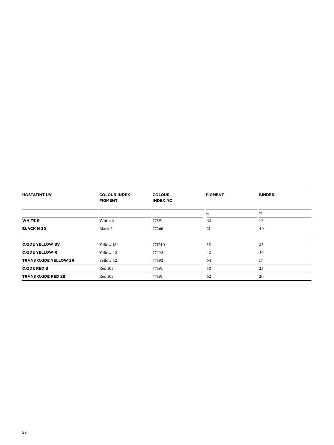| <b>HOSTATINT UV</b>          | <b>COLOUR INDEX</b><br><b>PIGMENT</b> | <b>COLOUR</b><br><b>INDEX NO.</b> | <b>PIGMENT</b> | <b>BINDER</b> |
|------------------------------|---------------------------------------|-----------------------------------|----------------|---------------|
|                              |                                       |                                   | %              | %             |
| <b>WHITE R</b>               | White 6                               | 77891                             | 62             | 19            |
| <b>BLACK N 30</b>            | Black 7                               | 77266                             | 21             | 40            |
|                              |                                       |                                   |                |               |
| <b>OXIDE YELLOW BV</b>       | Yellow 184                            | 771740                            | 35             | 32            |
| <b>OXIDE YELLOW R</b>        | Yellow 42                             | 77492                             | 43             | 20            |
| <b>TRANS OXIDE YELLOW 2R</b> | Yellow 42                             | 77492                             | 64             | 17            |
| <b>OXIDE RED B</b>           | <b>Red 101</b>                        | 77491                             | 50             | 25            |
| <b>TRANS OXIDE RED 2B</b>    | <b>Red 101</b>                        | 77491                             | 62             | 20            |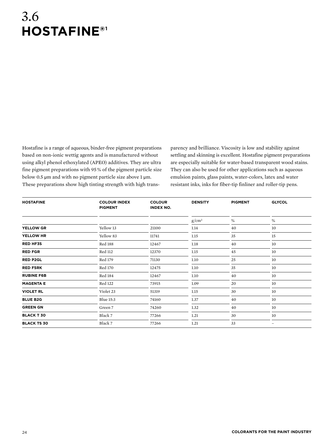## 3.6 **Hostafine®1**

Hostafine is a range of aqueous, binder-free pigment preparations based on non-ionic wettig agents and is manufactured without using alkyl phenol ethoxylated (APEO) additives. They are ultra fine pigment preparations with 95 % of the pigment particle size below 0.5 µm and with no pigment particle size above 1 µm. These preparations show high tinting strength with high trans-

parency and brilliance. Viscosity is low and stability against settling and skinning is excellent. Hostafine pigment preparations are especially suitable for water-based transparent wood stains. They can also be used for other applications such as aqueous emulsion paints, glass paints, water-colors, latex and water resistant inks, inks for fiber-tip finliner and roller-tip pens.

| <b>HOSTAFINE</b>   | <b>COLOUR INDEX</b><br><b>PIGMENT</b> | <b>COLOUR</b><br><b>INDEX NO.</b> | <b>DENSITY</b> | <b>PIGMENT</b> | <b>GLYCOL</b> |
|--------------------|---------------------------------------|-----------------------------------|----------------|----------------|---------------|
|                    |                                       |                                   | $g/cm^3$       | $\%$           | %             |
| <b>YELLOW GR</b>   | Yellow 13                             | 21100                             | 1.14           | 40             | 10            |
| YELLOW HR          | Yellow 83                             | 11741                             | 1.15           | 35             | 15            |
| <b>RED HF3S</b>    | <b>Red 188</b>                        | 12467                             | 1.18           | 40             | 10            |
| <b>RED FGR</b>     | <b>Red 112</b>                        | 12370                             | 1.15           | 45             | 10            |
| <b>RED P2GL</b>    | Red 179                               | 71130                             | 1.10           | 25             | 10            |
| <b>RED F5RK</b>    | <b>Red 170</b>                        | 12475                             | 1.10           | 35             | 10            |
| <b>RUBINE F6B</b>  | <b>Red 184</b>                        | 12467                             | 1.10           | 40             | 10            |
| <b>MAGENTA E</b>   | <b>Red 122</b>                        | 73915                             | 1.09           | 20             | 10            |
| <b>VIOLET RL</b>   | Violet 23                             | 51319                             | 1.15           | 30             | 10            |
| <b>BLUE B2G</b>    | <b>Blue 15:3</b>                      | 74160                             | 1.37           | 40             | 10            |
| <b>GREEN GN</b>    | Green 7                               | 74260                             | 1.32           | 40             | 10            |
| <b>BLACK T 30</b>  | Black 7                               | 77266                             | 1.21           | 30             | 10            |
| <b>BLACK TS 30</b> | Black 7                               | 77266                             | 1.21           | 33             | -             |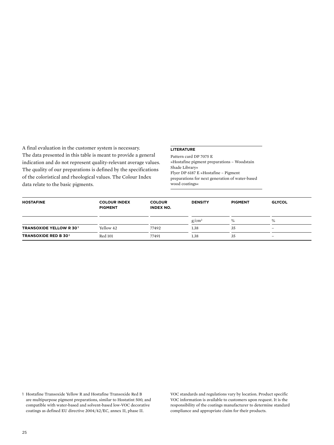A final evaluation in the customer system is necessary. The data presented in this table is meant to provide a general indication and do not represent quality-relevant average values. The quality of our preparations is defined by the specifications of the coloristical and rheological values. The Colour Index data relate to the basic pigments.

#### **Literature**

Pattern card DP 7075 E »Hostafine pigment preparations – Woodstain Shade Library« Flyer DP 6187 E »Hostafine – Pigment preparations for next generation of water-based wood coatings«

| <b>HOSTAFINE</b>               | <b>COLOUR INDEX</b><br><b>PIGMENT</b> | <b>COLOUR</b><br><b>INDEX NO.</b> | <b>DENSITY</b> | <b>PIGMENT</b> | <b>GLYCOL</b>            |  |
|--------------------------------|---------------------------------------|-----------------------------------|----------------|----------------|--------------------------|--|
|                                |                                       |                                   | $g/cm^3$       | $\%$           | $\%$                     |  |
| <b>TRANSOXIDE YELLOW R 301</b> | Yellow 42                             | 77492                             | 1.38           | 35             | $\overline{\phantom{a}}$ |  |
| <b>TRANSOXIDE RED B 301</b>    | <b>Red 101</b>                        | 77491                             | 1.38           | 35             | $\overline{\phantom{a}}$ |  |

1 Hostafine Transoxide Yellow R and Hostafine Transoxide Red B are multipurpose pigment preparations, similar to Hostatint 500, and compatible with water-based and solvent-based low-VOC decorative coatings as defined EU directive 2004/42/EC, annex II, phase II.

VOC standards and regulations vary by location. Product specific VOC information is available to customers upon request. It is the responsibility of the coatings manufacturer to determine standard compliance and appropriate claim for their products.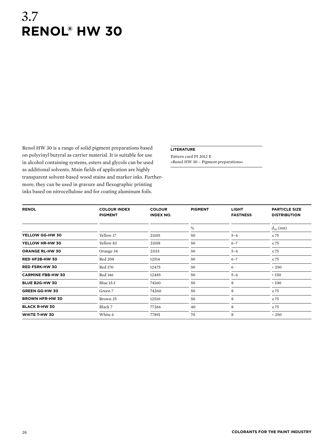## 3.7 **Renol® HW 30**

Renol HW 30 is a range of solid pigment preparations based on polyvinyl butyral as carrier material. It is suitable for use in alcohol containing systems, esters and glycols can be used as additional solvents. Main fields of application are highly transparent solvent-based wood stains and marker inks. Furthermore, they can be used in gravure and flexographic printing inks based on nitrocellulose and for coating aluminum foils.

#### **Literature**

Pattern card PI 2012 E »Renol HW 30 – Pigment preparations«

| <b>RENOL</b>             | <b>COLOUR INDEX</b><br><b>PIGMENT</b> | <b>COLOUR</b><br><b>INDEX NO.</b> | <b>PIGMENT</b> | <b>LIGHT</b><br><b>FASTNESS</b> | <b>PARTICLE SIZE</b><br><b>DISTRIBUTION</b> |
|--------------------------|---------------------------------------|-----------------------------------|----------------|---------------------------------|---------------------------------------------|
|                          |                                       |                                   | $\%$           |                                 | $d_{50}$ (nm)                               |
| YELLOW GG-HW 30          | Yellow 17                             | 21105                             | 50             | $5 - 6$                         | $\leq 75$                                   |
| YELLOW HR-HW 30          | Yellow 83                             | 21108                             | 50             | $6 - 7$                         | $\leq 75$                                   |
| <b>ORANGE RL-HW 30</b>   | Orange 34                             | 21115                             | 50             | $5 - 6$                         | $\leq 75$                                   |
| RED HF2B-HW 30           | <b>Red 208</b>                        | 12514                             | 50             | $6 - 7$                         | $\leq 75$                                   |
| <b>RED F5RK-HW 30</b>    | Red 170                               | 12475                             | 50             | 6                               | < 250                                       |
| <b>CARMINE FBB-HW 30</b> | Red 146                               | 12485                             | 50             | $5 - 6$                         | < 150                                       |
| <b>BLUE B2G-HW 30</b>    | Blue 15:3                             | 74160                             | 50             | 8                               | $\leq 100$                                  |
| <b>GREEN GG-HW 30</b>    | Green 7                               | 74260                             | 50             | 8                               | $\leq 75$                                   |
| <b>BROWN HFR-HW 30</b>   | Brown 25                              | 12510                             | 50             | 8                               | $\leq 75$                                   |
| <b>BLACK R-HW 30</b>     | Black 7                               | 77266                             | 40             | 8                               | $\leq 75$                                   |
| WHITE T-HW 30            | White 6                               | 77891                             | 70             | 8                               | < 250                                       |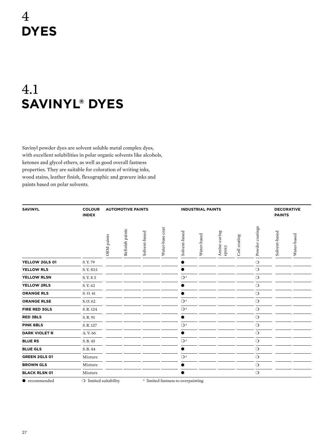# 4 **Dyes**

# 4.1 **Savinyl® Dyes**

Savinyl powder dyes are solvent soluble metal complex dyes, with excellent solubilities in polar organic solvents like alcohols, ketones and glycol ethers, as well as good overall fastness properties. They are suitable for coloration of writing inks, wood stains, leather finish, flexographic and gravure inks and paints based on polar solvents.

| <b>SAVINYL</b>       | <b>COLOUR</b><br><b>INDEX</b> | <b>AUTOMOTIVE PAINTS</b><br><b>INDUSTRIAL PAINTS</b> |                 |               |                 |               |             |                       | <b>DECORATIVE</b><br><b>PAINTS</b> |                    |               |             |
|----------------------|-------------------------------|------------------------------------------------------|-----------------|---------------|-----------------|---------------|-------------|-----------------------|------------------------------------|--------------------|---------------|-------------|
|                      |                               | OEM paints                                           | Refinish paints | Solvent-based | Water-base coat | Solvent-based | Water-based | Amine-curing<br>epoxy | Coil coating                       | coatings<br>Powder | Solvent-based | Water-based |
| YELLOW 2GLS 01       | S.Y. 79                       |                                                      |                 |               |                 |               |             |                       |                                    | $\circ$            |               |             |
| <b>YELLOW RLS</b>    | S.Y. 83:1                     |                                                      |                 |               |                 |               |             |                       |                                    | $\circ$            |               |             |
| YELLOW RLSN          | S.Y.83                        |                                                      |                 |               |                 | $\bigcirc^*$  |             |                       |                                    | $\circ$            |               |             |
| <b>YELLOW 2RLS</b>   | S.Y. <sub>62</sub>            |                                                      |                 |               |                 |               |             |                       |                                    | $\circ$            |               |             |
| <b>ORANGE RLS</b>    | S.O.41                        |                                                      |                 |               |                 |               |             |                       |                                    | $\circ$            |               |             |
| <b>ORANGE RLSE</b>   | S.O. <sub>62</sub>            |                                                      |                 |               |                 | $\bigcirc^*$  |             |                       |                                    | $\circ$            |               |             |
| <b>FIRE RED 3GLS</b> | S.R.124                       |                                                      |                 |               |                 | $\bigcirc^*$  |             |                       |                                    | $\circ$            |               |             |
| <b>RED 3BLS</b>      | S.R.91                        |                                                      |                 |               |                 | ●             |             |                       |                                    | $\circ$            |               |             |
| <b>PINK 6BLS</b>     | S.R.127                       |                                                      |                 |               |                 | $\bigcirc^*$  |             |                       |                                    | $\circ$            |               |             |
| <b>DARK VIOLET R</b> | A.V. 66                       |                                                      |                 |               |                 |               |             |                       |                                    | $\circ$            |               |             |
| <b>BLUE RS</b>       | S.B. 45                       |                                                      |                 |               |                 | $\bigcirc^*$  |             |                       |                                    | $\circ$            |               |             |
| <b>BLUE GLS</b>      | S.B. 44                       |                                                      |                 |               |                 | ●             |             |                       |                                    | $\circ$            |               |             |
| GREEN 2GLS 01        | Mixture                       |                                                      |                 |               |                 | $\bigcirc^*$  |             |                       |                                    | $\circ$            |               |             |
| <b>BROWN GLS</b>     | Mixture                       |                                                      |                 |               |                 |               |             |                       |                                    | $\circ$            |               |             |
| <b>BLACK RLSN 01</b> | Mixture                       |                                                      |                 |               |                 | 0             |             |                       |                                    | $\circ$            |               |             |
|                      |                               |                                                      |                 |               |                 |               |             |                       |                                    |                    |               |             |

● recommended ○ limited suitability \* limited fastness to overpainting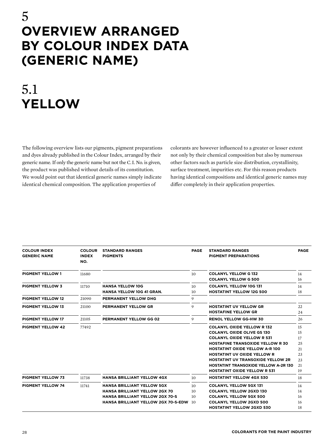### 5 **Overview arranged by Colour Index data (generic name)**

# 5.1 **Yellow**

The following overview lists our pigments, pigment preparations and dyes already published in the Colour Index, arranged by their generic name. If only the generic name but not the C. I. No. is given, the product was published without details of its constitution. We would point out that identical generic names simply indicate identical chemical composition. The application properties of

colorants are however influenced to a greater or lesser extent not only by their chemical composition but also by numerous other factors such as particle size distribution, crystallinity, surface treatment, impurities etc. For this reason products having identical compositions and identical generic names may differ completely in their application properties.

| <b>COLOUR INDEX</b><br><b>GENERIC NAME</b> | <b>COLOUR</b><br><b>INDEX</b><br>NO. | <b>STANDARD RANGES</b><br><b>PIGMENTS</b>                                                                                                                         | <b>PAGE</b>                                    | <b>STANDARD RANGES</b><br><b>PIGMENT PREPARATIONS</b>                                                                                                                                                                                                                                                                                                                  | <b>PAGE</b>                                        |
|--------------------------------------------|--------------------------------------|-------------------------------------------------------------------------------------------------------------------------------------------------------------------|------------------------------------------------|------------------------------------------------------------------------------------------------------------------------------------------------------------------------------------------------------------------------------------------------------------------------------------------------------------------------------------------------------------------------|----------------------------------------------------|
| <b>PIGMENT YELLOW 1</b>                    | 11680                                |                                                                                                                                                                   | 10 <sup>10</sup>                               | <b>COLANYL YELLOW G132</b><br><b>COLANYL YELLOW G 500</b>                                                                                                                                                                                                                                                                                                              | 14<br>16                                           |
| <b>PIGMENT YELLOW 3</b>                    | 11710                                | <b>HANSA YELLOW 10G</b><br><b>HANSA YELLOW 10G 41 GRAN.</b>                                                                                                       | 10 <sup>10</sup><br>10                         | <b>COLANYL YELLOW 10G 131</b><br><b>HOSTATINT YELLOW 12G 500</b>                                                                                                                                                                                                                                                                                                       | 14<br>18                                           |
| <b>PIGMENT YELLOW 12</b>                   | 21090                                | PERMANENT YELLOW DHG                                                                                                                                              | 9                                              |                                                                                                                                                                                                                                                                                                                                                                        |                                                    |
| <b>PIGMENT YELLOW 13</b>                   | 21100                                | PERMANENT YELLOW GR                                                                                                                                               | 9                                              | <b>HOSTATINT UV YELLOW GR</b><br><b>HOSTAFINE YELLOW GR</b>                                                                                                                                                                                                                                                                                                            | 22<br>24                                           |
| <b>PIGMENT YELLOW 17</b>                   | 21105                                | PERMANENT YELLOW GG 02                                                                                                                                            | 9                                              | <b>RENOL YELLOW GG-HW 30</b>                                                                                                                                                                                                                                                                                                                                           | 26                                                 |
| <b>PIGMENT YELLOW 42</b>                   | 77492                                |                                                                                                                                                                   |                                                | <b>COLANYL OXIDE YELLOW R132</b><br><b>COLANYL OXIDE OLIVE GS 130</b><br><b>COLANYL OXIDE YELLOW R 531</b><br><b>HOSTAFINE TRANSOXIDE YELLOW R 30</b><br><b>HOSTATINT OXIDE YELLOW A-R 100</b><br><b>HOSTATINT UV OXIDE YELLOW R</b><br><b>HOSTATINT UV TRANSOXIDE YELLOW 2R</b><br><b>HOSTATINT TRANSOXIDE YELLOW A-2R 130</b><br><b>HOSTATINT OXIDE YELLOW R 531</b> | 15<br>15<br>17<br>25<br>21<br>23<br>23<br>21<br>19 |
| <b>PIGMENT YELLOW 73</b>                   | 11738                                | <b>HANSA BRILLIANT YELLOW 4GX</b>                                                                                                                                 | 10                                             | <b>HOSTATINT YELLOW 4GX 530</b>                                                                                                                                                                                                                                                                                                                                        | 18                                                 |
| <b>PIGMENT YELLOW 74</b>                   | 11741                                | <b>HANSA BRILLIANT YELLOW 5GX</b><br><b>HANSA BRILLIANT YELLOW 2GX 70</b><br><b>HANSA BRILLIANT YELLOW 2GX 70-S</b><br><b>HANSA BRILLIANT YELLOW 2GX 70-S-EDW</b> | 10 <sup>1</sup><br>10<br>10 <sup>2</sup><br>10 | <b>COLANYL YELLOW 5GX 131</b><br><b>COLANYL YELLOW 2GXD 130</b><br><b>COLANYL YELLOW 5GX 500</b><br><b>COLANYL YELLOW 2GXD 500</b><br><b>HOSTATINT YELLOW 2GXD 530</b>                                                                                                                                                                                                 | 14<br>14<br>16<br>16<br>18                         |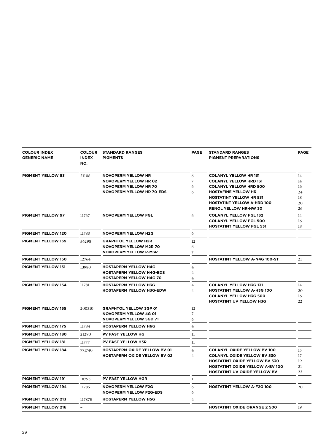| <b>COLOUR INDEX</b><br><b>GENERIC NAME</b> | <b>COLOUR</b><br><b>INDEX</b><br>NO. | <b>STANDARD RANGES</b><br><b>PIGMENTS</b>                    | <b>PAGE</b>    | <b>STANDARD RANGES</b><br><b>PIGMENT PREPARATIONS</b>                         | <b>PAGE</b> |
|--------------------------------------------|--------------------------------------|--------------------------------------------------------------|----------------|-------------------------------------------------------------------------------|-------------|
| <b>PIGMENT YELLOW 83</b>                   | 21108                                | <b>NOVOPERM YELLOW HR</b>                                    | 6              | <b>COLANYL YELLOW HR 131</b>                                                  | 14          |
|                                            |                                      | <b>NOVOPERM YELLOW HR 02</b>                                 | 7              | <b>COLANYL YELLOW HRD 131</b>                                                 | 14          |
|                                            |                                      | <b>NOVOPERM YELLOW HR 70</b>                                 | 6              | <b>COLANYL YELLOW HRD 500</b>                                                 | 16          |
|                                            |                                      | <b>NOVOPERM YELLOW HR 70-EDS</b>                             | 6              | <b>HOSTAFINE YELLOW HR</b>                                                    | 24          |
|                                            |                                      |                                                              |                | <b>HOSTATINT YELLOW HR 531</b>                                                | 18          |
|                                            |                                      |                                                              |                | <b>HOSTATINT YELLOW A-HRD 100</b><br><b>RENOL YELLOW HR-HW 30</b>             | 20<br>26    |
| <b>PIGMENT YELLOW 97</b>                   | 11767                                | <b>NOVOPERM YELLOW FGL</b>                                   | 6              | <b>COLANYL YELLOW FGL 132</b>                                                 | 14          |
|                                            |                                      |                                                              |                | <b>COLANYL YELLOW FGL 500</b>                                                 | 16          |
|                                            |                                      |                                                              |                | <b>HOSTATINT YELLOW FGL 531</b>                                               | 18          |
| <b>PIGMENT YELLOW 120</b>                  | 11783                                | <b>NOVOPERM YELLOW H2G</b>                                   | 6              |                                                                               |             |
| <b>PIGMENT YELLOW 139</b>                  | 56298                                | <b>GRAPHTOL YELLOW H2R</b>                                   | 12             |                                                                               |             |
|                                            |                                      | <b>NOVOPERM YELLOW M2R 70</b>                                | 6              |                                                                               |             |
|                                            |                                      | <b>NOVOPERM YELLOW P-M3R</b>                                 | $\overline{7}$ |                                                                               |             |
| PIGMENT YELLOW 150                         | 12764                                |                                                              |                | <b>HOSTATINT YELLOW A-N4G 100-ST</b>                                          | 21          |
| <b>PIGMENT YELLOW 151</b>                  | 13980                                | <b>HOSTAPERM YELLOW H4G</b>                                  | $\overline{4}$ |                                                                               |             |
|                                            |                                      | <b>HOSTAPERM YELLOW H4G-EDS</b>                              | $\overline{4}$ |                                                                               |             |
|                                            |                                      | <b>HOSTAPERM YELLOW H4G 70</b>                               | 4              |                                                                               |             |
| <b>PIGMENT YELLOW 154</b>                  | 11781                                | <b>HOSTAPERM YELLOW H3G</b>                                  | $\overline{4}$ | <b>COLANYL YELLOW H3G 131</b>                                                 | 14          |
|                                            |                                      | <b>HOSTAPERM YELLOW H3G-EDW</b>                              | $\overline{4}$ | <b>HOSTATINT YELLOW A-H3G 100</b>                                             | 20          |
|                                            |                                      |                                                              |                | <b>COLANYL YELLOW H3G 500</b>                                                 | 16          |
|                                            |                                      |                                                              |                | <b>HOSTATINT UV YELLOW H3G</b>                                                | 22          |
| <b>PIGMENT YELLOW 155</b>                  | 200310                               | <b>GRAPHTOL YELLOW 3GP 01</b>                                | 12             |                                                                               |             |
|                                            |                                      | <b>NOVOPERM YELLOW 4G 01</b>                                 | $\overline{7}$ |                                                                               |             |
|                                            |                                      | <b>NOVOPERM YELLOW 5GD 71</b>                                | 6              |                                                                               |             |
| <b>PIGMENT YELLOW 175</b>                  | 11784                                | <b>HOSTAPERM YELLOW H6G</b>                                  | 4              |                                                                               |             |
| <b>PIGMENT YELLOW 180</b>                  | 21290                                | <b>PV FAST YELLOW HG</b>                                     | 11             |                                                                               |             |
| <b>PIGMENT YELLOW 181</b>                  | 11777                                | <b>PV FAST YELLOW H3R</b>                                    | 11             |                                                                               |             |
| <b>PIGMENT YELLOW 184</b>                  | 771740                               | <b>HOSTAPERM OXIDE YELLOW BV 01</b>                          | $\overline{4}$ | <b>COLANYL OXIDE YELLOW BV 100</b>                                            | 15          |
|                                            |                                      | <b>HOSTAPERM OXIDE YELLOW BV 02</b>                          | $\overline{4}$ | <b>COLANYL OXIDE YELLOW BV 530</b>                                            | 17          |
|                                            |                                      |                                                              |                | <b>HOSTATINT OXIDE YELLOW BV 530</b>                                          | 19          |
|                                            |                                      |                                                              |                | <b>HOSTATINT OXIDE YELLOW A-BV 100</b><br><b>HOSTATINT UV OXIDE YELLOW BV</b> | 21          |
| <b>PIGMENT YELLOW 191</b>                  | 18795                                | PV FAST YELLOW HGR                                           | 11             |                                                                               | 23          |
|                                            |                                      |                                                              |                | <b>HOSTATINT YELLOW A-F2G 100</b>                                             |             |
| <b>PIGMENT YELLOW 194</b>                  | 11785                                | <b>NOVOPERM YELLOW F2G</b><br><b>NOVOPERM YELLOW F2G-EDS</b> | 6<br>6         |                                                                               | 20          |
| <b>PIGMENT YELLOW 213</b>                  | 117875                               | <b>HOSTAPERM YELLOW H5G</b>                                  | $\overline{4}$ |                                                                               |             |
| <b>PIGMENT YELLOW 216</b>                  |                                      |                                                              |                | <b>HOSTATINT OXIDE ORANGE Z 500</b>                                           | 19          |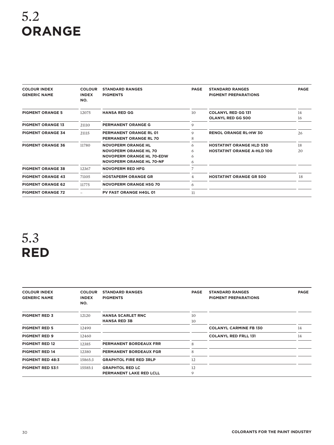# 5.2 **Orange**

| <b>COLOUR INDEX</b><br><b>GENERIC NAME</b> | <b>COLOUR</b><br><b>INDEX</b><br>NO. | <b>STANDARD RANGES</b><br><b>PIGMENTS</b>                                                                                 | <b>PAGE</b>      | <b>STANDARD RANGES</b><br><b>PIGMENT PREPARATIONS</b>                | <b>PAGE</b> |
|--------------------------------------------|--------------------------------------|---------------------------------------------------------------------------------------------------------------------------|------------------|----------------------------------------------------------------------|-------------|
| <b>PIGMENT ORANGE 5</b>                    | 12075                                | <b>HANSA RED GG</b>                                                                                                       | 10 <sup>2</sup>  | <b>COLANYL RED GG 131</b><br><b>OLANYL RED GG 500</b>                | 14<br>16    |
| <b>PIGMENT ORANGE 13</b>                   | 21110                                | <b>PERMANENT ORANGE G</b>                                                                                                 | 9                |                                                                      |             |
| <b>PIGMENT ORANGE 34</b>                   | 21115                                | <b>PERMANENT ORANGE RL 01</b><br><b>PERMANENT ORANGE RL 70</b>                                                            | 9<br>8           | <b>RENOL ORANGE RL-HW 30</b>                                         | 26          |
| <b>PIGMENT ORANGE 36</b>                   | 11780                                | <b>NOVOPERM ORANGE HL</b><br><b>NOVOPERM ORANGE HL 70</b><br>NOVOPERM ORANGE HL 70-EDW<br><b>NOVOPERM ORANGE HL 70-NF</b> | 6<br>6<br>6<br>6 | <b>HOSTATINT ORANGE HLD 530</b><br><b>HOSTATINT ORANGE A-HLD 100</b> | 18<br>20    |
| <b>PIGMENT ORANGE 38</b>                   | 12367                                | <b>NOVOPERM RED HFG</b>                                                                                                   | 7                |                                                                      |             |
| <b>PIGMENT ORANGE 43</b>                   | 71105                                | <b>HOSTAPERM ORANGE GR</b>                                                                                                | 4                | <b>HOSTATINT ORANGE GR 500</b>                                       | 18          |
| <b>PIGMENT ORANGE 62</b>                   | 11775                                | <b>NOVOPERM ORANGE H5G 70</b>                                                                                             | 6                |                                                                      |             |
| <b>PIGMENT ORANGE 72</b>                   |                                      | <b>PV FAST ORANGE H4GL 01</b>                                                                                             | 11               |                                                                      |             |

# 5.3 **Red**

| <b>COLOUR INDEX</b><br><b>GENERIC NAME</b> | <b>COLOUR</b><br><b>INDEX</b><br>NO. | <b>STANDARD RANGES</b><br><b>PIGMENTS</b> | <b>PAGE</b> | <b>STANDARD RANGES</b><br><b>PIGMENT PREPARATIONS</b> | <b>PAGE</b> |
|--------------------------------------------|--------------------------------------|-------------------------------------------|-------------|-------------------------------------------------------|-------------|
| <b>PIGMENT RED 3</b>                       | 12120                                | <b>HANSA SCARLET RNC</b>                  | 10          |                                                       |             |
|                                            |                                      | <b>HANSA RED 3B</b>                       | 10          |                                                       |             |
| <b>PIGMENT RED 5</b>                       | 12490                                |                                           |             | <b>COLANYL CARMINE FB 130</b>                         | 14          |
| <b>PIGMENT RED 9</b>                       | 12460                                |                                           |             | <b>COLANYL RED FRLL 131</b>                           | 14          |
| <b>PIGMENT RED 12</b>                      | 12385                                | <b>PERMANENT BORDEAUX FRR</b>             | 8           |                                                       |             |
| <b>PIGMENT RED 14</b>                      | 12380                                | <b>PERMANENT BORDEAUX FGR</b>             | 8           |                                                       |             |
| <b>PIGMENT RED 48:3</b>                    | 15865:3                              | <b>GRAPHTOL FIRE RED 3RLP</b>             | 12          |                                                       |             |
| <b>PIGMENT RED 53:1</b>                    | 15585:1                              | <b>GRAPHTOL RED LC</b>                    | 12          |                                                       |             |
|                                            |                                      | <b>PERMANENT LAKE RED LCLL</b>            | 9           |                                                       |             |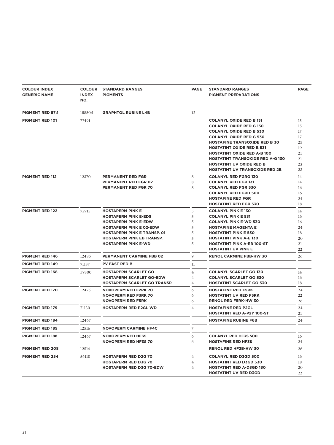| <b>COLOUR INDEX</b><br><b>GENERIC NAME</b> | <b>COLOUR</b><br><b>INDEX</b><br>NO. | <b>STANDARD RANGES</b><br><b>PIGMENTS</b>                                                                                                                                                                                       | <b>PAGE</b>                           | <b>STANDARD RANGES</b><br><b>PIGMENT PREPARATIONS</b>                                                                                                                                                                                                                                             | <b>PAGE</b>                                  |
|--------------------------------------------|--------------------------------------|---------------------------------------------------------------------------------------------------------------------------------------------------------------------------------------------------------------------------------|---------------------------------------|---------------------------------------------------------------------------------------------------------------------------------------------------------------------------------------------------------------------------------------------------------------------------------------------------|----------------------------------------------|
| <b>PIGMENT RED 57:1</b>                    | 15850:1                              | <b>GRAPHTOL RUBINE L4B</b>                                                                                                                                                                                                      | 12                                    |                                                                                                                                                                                                                                                                                                   |                                              |
| PIGMENT RED 101                            | 77491                                |                                                                                                                                                                                                                                 |                                       | <b>COLANYL OXIDE RED B 131</b><br><b>COLANYL OXIDE RED G 130</b><br><b>COLANYL OXIDE RED B 530</b><br><b>COLANYL OXIDE RED G 530</b><br><b>HOSTAFINE TRANSOXIDE RED B 30</b><br><b>HOSTATINT OXIDE RED B 531</b><br><b>HOSTATINT OXIDE RED A-B 100</b><br><b>HOSTATINT TRANSOXIDE RED A-G 130</b> | 15<br>15<br>17<br>17<br>25<br>19<br>21<br>21 |
|                                            |                                      |                                                                                                                                                                                                                                 |                                       | <b>HOSTATINT UV OXIDE RED B</b><br><b>HOSTATINT UV TRANSOXIDE RED 2B</b>                                                                                                                                                                                                                          | 23<br>23                                     |
| <b>PIGMENT RED 112</b>                     | 12370                                | <b>PERMANENT RED FGR</b><br><b>PERMANENT RED FGR 02</b><br><b>PERMANENT RED FGR 70</b>                                                                                                                                          | 8<br>8<br>8                           | <b>COLANYL RED FGRG 130</b><br><b>COLANYL RED FGR 131</b><br><b>COLANYL RED FGR 530</b><br><b>COLANYL RED FGRD 500</b><br><b>HOSTAFINE RED FGR</b><br><b>HOSTATINT RED FGR 530</b>                                                                                                                | 14<br>14<br>16<br>16<br>24<br>18             |
| <b>PIGMENT RED 122</b>                     | 73915                                | <b>HOSTAPERM PINK E</b><br><b>HOSTAPERM PINK E-EDS</b><br><b>HOSTAPERM PINK E-EDW</b><br><b>HOSTAPERM PINK E 02-EDW</b><br><b>HOSTAPERM PINK E TRANSP. 01</b><br><b>HOSTAPERM PINK EB TRANSP.</b><br><b>HOSTAPERM PINK E-WD</b> | 5<br>5<br>5<br>5<br>5<br>5<br>5       | <b>COLANYL PINK E 130</b><br><b>COLANYL PINK E 531</b><br><b>COLANYL PINK E-WD 530</b><br><b>HOSTAFINE MAGENTA E</b><br><b>HOSTATINT PINK E 530</b><br><b>HOSTATINT PINK A-E 130</b><br><b>HOSTATINT PINK A-EB 100-ST</b><br><b>HOSTATINT UV PINK E</b>                                           | 14<br>16<br>16<br>24<br>18<br>20<br>21<br>22 |
| <b>PIGMENT RED 146</b>                     | 12485                                | PERMANENT CARMINE FBB 02                                                                                                                                                                                                        | 9                                     | <b>RENOL CARMINE FBB-HW 30</b>                                                                                                                                                                                                                                                                    | 26                                           |
| <b>PIGMENT RED 149</b>                     | 71137                                | <b>PV FAST RED B</b>                                                                                                                                                                                                            | 11                                    |                                                                                                                                                                                                                                                                                                   |                                              |
| <b>PIGMENT RED 168</b>                     | 59300                                | <b>HOSTAPERM SCARLET GO</b><br><b>HOSTAPERM SCARLET GO-EDW</b><br><b>HOSTAPERM SCARLET GO TRANSP.</b>                                                                                                                           | 4<br>$\overline{4}$<br>$\overline{4}$ | <b>COLANYL SCARLET GO 130</b><br><b>COLANYL SCARLET GO 530</b><br><b>HOSTATINT SCARLET GO 530</b>                                                                                                                                                                                                 | 14<br>16<br>18                               |
| <b>PIGMENT RED 170</b>                     | 12475                                | <b>NOVOPERM RED F2RK 70</b><br><b>NOVOPERM RED F3RK 70</b><br><b>NOVOPERM RED F5RK</b>                                                                                                                                          | 6<br>6<br>6                           | <b>HOSTAFINE RED F5RK</b><br><b>HOSTATINT UV RED F5RK</b><br><b>RENOL RED F5RK-HW 30</b>                                                                                                                                                                                                          | 24<br>22<br>26                               |
| <b>PIGMENT RED 179</b>                     | 71130                                | <b>HOSTAPERM RED P2GL-WD</b>                                                                                                                                                                                                    | $\overline{4}$                        | <b>HOSTAFINE RED P2GL</b><br><b>HOSTATINT RED A-P2Y 100-ST</b>                                                                                                                                                                                                                                    | 24<br>21                                     |
| <b>PIGMENT RED 184</b>                     | 12467                                |                                                                                                                                                                                                                                 |                                       | <b>HOSTAFINE RUBINE F6B</b>                                                                                                                                                                                                                                                                       | 24                                           |
| <b>PIGMENT RED 185</b>                     | 12516                                | <b>NOVOPERM CARMINE HF4C</b>                                                                                                                                                                                                    | 7                                     |                                                                                                                                                                                                                                                                                                   |                                              |
| <b>PIGMENT RED 188</b>                     | 12467                                | <b>NOVOPERM RED HF3S</b><br><b>NOVOPERM RED HF3S 70</b>                                                                                                                                                                         | 6<br>6                                | <b>COLANYL RED HF3S 500</b><br><b>HOSTAFINE RED HF3S</b>                                                                                                                                                                                                                                          | 16<br>24                                     |
| <b>PIGMENT RED 208</b>                     | 12514                                |                                                                                                                                                                                                                                 |                                       | <b>RENOL RED HF2B-HW 30</b>                                                                                                                                                                                                                                                                       | 26                                           |
| <b>PIGMENT RED 254</b>                     | 56110                                | <b>HOSTAPERM RED D2G 70</b><br><b>HOSTAPERM RED D3G 70</b><br><b>HOSTAPERM RED D3G 70-EDW</b>                                                                                                                                   | $\overline{4}$<br>4<br>4              | <b>COLANYL RED D3GD 500</b><br><b>HOSTATINT RED D3GD 530</b><br><b>HOSTATINT RED A-D3GD 130</b><br><b>HOSTATINT UV RED D3GD</b>                                                                                                                                                                   | 16<br>18<br>20<br>22                         |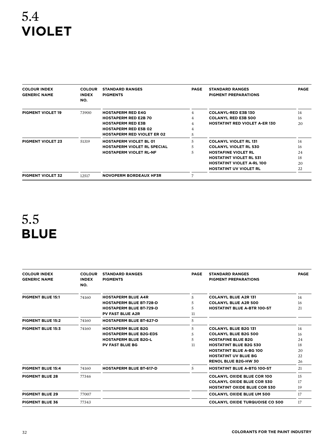# 5.4 **Violet**

| <b>COLOUR INDEX</b><br><b>GENERIC NAME</b> | <b>COLOUR</b><br><b>INDEX</b><br>NO. | <b>STANDARD RANGES</b><br><b>PIGMENTS</b> | <b>PAGE</b>    | <b>STANDARD RANGES</b><br><b>PIGMENT PREPARATIONS</b> | <b>PAGE</b> |
|--------------------------------------------|--------------------------------------|-------------------------------------------|----------------|-------------------------------------------------------|-------------|
| <b>PIGMENT VIOLET 19</b>                   | 73900                                | <b>HOSTAPERM RED E4G</b>                  | $\overline{4}$ | <b>COLANYL-RED E3B 130</b>                            | 14          |
|                                            |                                      | <b>HOSTAPERM RED E2B 70</b>               | $\overline{4}$ | <b>COLANYL RED E3B 500</b>                            | 16          |
|                                            |                                      | <b>HOSTAPERM RED E3B</b>                  | $\overline{4}$ | <b>HOSTATINT RED VIOLET A-ER 130</b>                  | 20          |
|                                            |                                      | <b>HOSTAPERM RED E5B 02</b>               | 4              |                                                       |             |
|                                            |                                      | <b>HOSTAPERM RED VIOLET ER 02</b>         | 5              |                                                       |             |
| <b>PIGMENT VIOLET 23</b>                   | 51319                                | <b>HOSTAPERM VIOLET BL 01</b>             | 5              | <b>COLANYL VIOLET RL 131</b>                          | 14          |
|                                            |                                      | <b>HOSTAPERM VIOLET RL SPECIAL</b>        | 5              | <b>COLANYL VIOLET RL 530</b>                          | 16          |
|                                            |                                      | <b>HOSTAPERM VIOLET RL-NF</b>             | 5              | <b>HOSTAFINE VIOLET RL</b>                            | 24          |
|                                            |                                      |                                           |                | <b>HOSTATINT VIOLET RL 531</b>                        | 18          |
|                                            |                                      |                                           |                | <b>HOSTATINT VIOLET A-RL 100</b>                      | 20          |
|                                            |                                      |                                           |                | <b>HOSTATINT UV VIOLET RL</b>                         | 22          |
| <b>PIGMENT VIOLET 32</b>                   | 12517                                | <b>NOVOPERM BORDEAUX HF3R</b>             | 7              |                                                       |             |

# 5.5 **Blue**

| <b>COLOUR INDEX</b><br><b>GENERIC NAME</b> | <b>COLOUR</b><br><b>INDEX</b><br>NO. | <b>STANDARD RANGES</b><br><b>PIGMENTS</b> | <b>PAGE</b> | <b>STANDARD RANGES</b><br><b>PIGMENT PREPARATIONS</b> | <b>PAGE</b> |
|--------------------------------------------|--------------------------------------|-------------------------------------------|-------------|-------------------------------------------------------|-------------|
| <b>PIGMENT BLUE 15:1</b>                   | 74160                                | <b>HOSTAPERM BLUE A4R</b>                 | 5           | <b>COLANYL BLUE A2R 131</b>                           | 14          |
|                                            |                                      | <b>HOSTAPERM BLUE BT-728-D</b>            | 5           | <b>COLANYL BLUE A2R 500</b>                           | 16          |
|                                            |                                      | <b>HOSTAPERM BLUE BT-729-D</b>            | 5           | <b>HOSTATINT BLUE A-BTR 100-ST</b>                    | 21          |
|                                            |                                      | <b>PV FAST BLUE A2R</b>                   | 11          |                                                       |             |
| <b>PIGMENT BLUE 15:2</b>                   | 74160                                | <b>HOSTAPERM BLUE BT-627-D</b>            | 5           |                                                       |             |
| <b>PIGMENT BLUE 15:3</b>                   | 74160                                | <b>HOSTAPERM BLUE B2G</b>                 | 5           | <b>COLANYL BLUE B2G 131</b>                           | 14          |
|                                            |                                      | <b>HOSTAPERM BLUE B2G-EDS</b>             | 5           | <b>COLANYL BLUE B2G 500</b>                           | 16          |
|                                            |                                      | <b>HOSTAPERM BLUE B2G-L</b>               | 5           | <b>HOSTAFINE BLUE B2G</b>                             | 24          |
|                                            |                                      | <b>PV FAST BLUE BG</b>                    | 11          | <b>HOSTATINT BLUE B2G 530</b>                         | 18          |
|                                            |                                      |                                           |             | <b>HOSTATINT BLUE A-BG 100</b>                        | 20          |
|                                            |                                      |                                           |             | <b>HOSTATINT UV BLUE BG</b>                           | 22          |
|                                            |                                      |                                           |             | <b>RENOL BLUE B2G-HW 30</b>                           | 26          |
| <b>PIGMENT BLUE 15:4</b>                   | 74160                                | <b>HOSTAPERM BLUE BT-617-D</b>            | 5           | <b>HOSTATINT BLUE A-BTG 100-ST</b>                    | 21          |
| <b>PIGMENT BLUE 28</b>                     | 77346                                |                                           |             | <b>COLANYL OXIDE BLUE COR 100</b>                     | 15          |
|                                            |                                      |                                           |             | <b>COLANYL OXIDE BLUE COR 530</b>                     | 17          |
|                                            |                                      |                                           |             | <b>HOSTATINT OXIDE BLUE COR 530</b>                   | 19          |
| <b>PIGMENT BLUE 29</b>                     | 77007                                |                                           |             | <b>COLANYL OXIDE BLUE UM 500</b>                      | 17          |
| <b>PIGMENT BLUE 36</b>                     | 77343                                |                                           |             | <b>COLANYL OXIDE TURQUOISE CO 500</b>                 | 17          |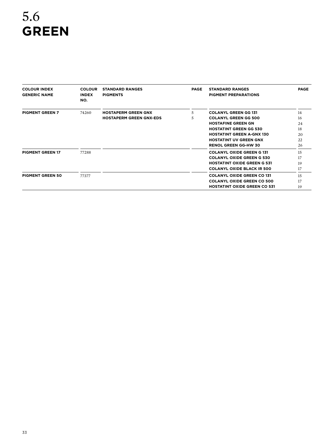# 5.6 **Green**

| <b>COLOUR INDEX</b><br><b>GENERIC NAME</b> | <b>COLOUR</b><br><b>INDEX</b><br>NO. | <b>STANDARD RANGES</b><br><b>PIGMENTS</b> | <b>PAGE</b> | <b>STANDARD RANGES</b><br><b>PIGMENT PREPARATIONS</b> | <b>PAGE</b> |
|--------------------------------------------|--------------------------------------|-------------------------------------------|-------------|-------------------------------------------------------|-------------|
| <b>PIGMENT GREEN 7</b>                     | 74260                                | <b>HOSTAPERM GREEN GNX</b>                | 5           | <b>COLANYL GREEN GG 131</b>                           | 14          |
|                                            |                                      | <b>HOSTAPERM GREEN GNX-EDS</b>            | 5           | <b>COLANYL GREEN GG 500</b>                           | 16          |
|                                            |                                      |                                           |             | <b>HOSTAFINE GREEN GN</b>                             | 24          |
|                                            |                                      |                                           |             | <b>HOSTATINT GREEN GG 530</b>                         | 18          |
|                                            |                                      |                                           |             | <b>HOSTATINT GREEN A-GNX 130</b>                      | 20          |
|                                            |                                      |                                           |             | <b>HOSTATINT UV GREEN GNX</b>                         | 22          |
|                                            |                                      |                                           |             | <b>RENOL GREEN GG-HW 30</b>                           | 26          |
| <b>PIGMENT GREEN 17</b>                    | 77288                                |                                           |             | <b>COLANYL OXIDE GREEN G 131</b>                      | 15          |
|                                            |                                      |                                           |             | <b>COLANYL OXIDE GREEN G 530</b>                      | 17          |
|                                            |                                      |                                           |             | <b>HOSTATINT OXIDE GREEN G 531</b>                    | 19          |
|                                            |                                      |                                           |             | <b>COLANYL OXIDE BLACK IR 500</b>                     | 17          |
| <b>PIGMENT GREEN 50</b>                    | 77377                                |                                           |             | <b>COLANYL OXIDE GREEN CO 131</b>                     | 15          |
|                                            |                                      |                                           |             | <b>COLANYL OXIDE GREEN CO 500</b>                     | 17          |
|                                            |                                      |                                           |             | <b>HOSTATINT OXIDE GREEN CO 531</b>                   | 19          |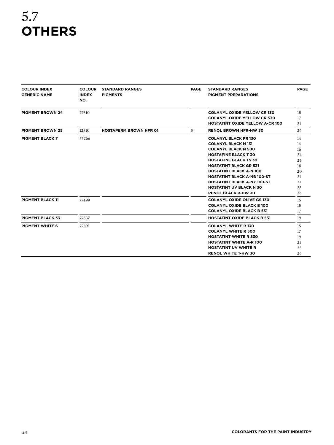# 5.7 **Others**

| <b>COLOUR INDEX</b><br><b>GENERIC NAME</b> | <b>COLOUR</b><br><b>INDEX</b><br>NO. | <b>STANDARD RANGES</b><br><b>PIGMENTS</b> | <b>PAGE</b> | <b>STANDARD RANGES</b><br><b>PIGMENT PREPARATIONS</b> | <b>PAGE</b> |
|--------------------------------------------|--------------------------------------|-------------------------------------------|-------------|-------------------------------------------------------|-------------|
| <b>PIGMENT BROWN 24</b>                    | 77310                                |                                           |             | <b>COLANYL OXIDE YELLOW CR 130</b>                    | 15          |
|                                            |                                      |                                           |             | <b>COLANYL OXIDE YELLOW CR 530</b>                    | 17          |
|                                            |                                      |                                           |             | <b>HOSTATINT OXIDE YELLOW A-CR 100</b>                | 21          |
| <b>PIGMENT BROWN 25</b>                    | 12510                                | <b>HOSTAPERM BROWN HFR 01</b>             | 5           | <b>RENOL BROWN HFR-HW 30</b>                          | 26          |
| <b>PIGMENT BLACK 7</b>                     | 77266                                |                                           |             | <b>COLANYL BLACK PR 130</b>                           | 14          |
|                                            |                                      |                                           |             | <b>COLANYL BLACK N 131</b>                            | 14          |
|                                            |                                      |                                           |             | <b>COLANYL BLACK N 500</b>                            | 16          |
|                                            |                                      |                                           |             | <b>HOSTAFINE BLACK T 30</b>                           | 24          |
|                                            |                                      |                                           |             | <b>HOSTAFINE BLACK TS 30</b>                          | 24          |
|                                            |                                      |                                           |             | <b>HOSTATINT BLACK GR 531</b>                         | 18          |
|                                            |                                      |                                           |             | <b>HOSTATINT BLACK A-N 100</b>                        | 20          |
|                                            |                                      |                                           |             | <b>HOSTATINT BLACK A-NB 100-ST</b>                    | 21          |
|                                            |                                      |                                           |             | <b>HOSTATINT BLACK A-NY 100-ST</b>                    | 21          |
|                                            |                                      |                                           |             | <b>HOSTATINT UV BLACK N 30</b>                        | 23          |
|                                            |                                      |                                           |             | <b>RENOL BLACK R-HW 30</b>                            | 26          |
| <b>PIGMENT BLACK 11</b>                    | 77499                                |                                           |             | <b>COLANYL OXIDE OLIVE GS 130</b>                     | 15          |
|                                            |                                      |                                           |             | <b>COLANYL OXIDE BLACK B 100</b>                      | 15          |
|                                            |                                      |                                           |             | <b>COLANYL OXIDE BLACK B 531</b>                      | 17          |
| <b>PIGMENT BLACK 33</b>                    | 77537                                |                                           |             | <b>HOSTATINT OXIDE BLACK B 531</b>                    | 19          |
| <b>PIGMENT WHITE 6</b>                     | 77891                                |                                           |             | <b>COLANYL WHITE R130</b>                             | 15          |
|                                            |                                      |                                           |             | <b>COLANYL WHITE R 500</b>                            | 17          |
|                                            |                                      |                                           |             | <b>HOSTATINT WHITE R 530</b>                          | 19          |
|                                            |                                      |                                           |             | <b>HOSTATINT WHITE A-R 100</b>                        | 21          |
|                                            |                                      |                                           |             | <b>HOSTATINT UV WHITE R</b>                           | 23          |
|                                            |                                      |                                           |             | <b>RENOL WHITE T-HW 30</b>                            | 26          |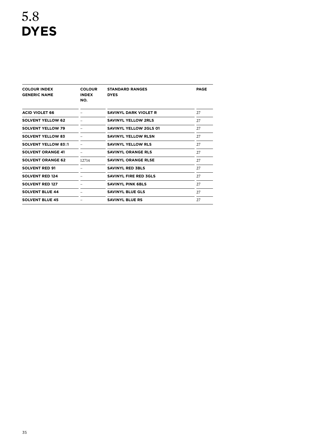| <b>COLOUR</b><br><b>COLOUR INDEX</b><br><b>GENERIC NAME</b><br><b>INDEX</b><br>NO. |       | <b>STANDARD RANGES</b><br><b>DYES</b> | <b>PAGE</b> |
|------------------------------------------------------------------------------------|-------|---------------------------------------|-------------|
| <b>ACID VIOLET 66</b>                                                              |       | SAVINYL DARK VIOLET R                 | 27          |
| <b>SOLVENT YELLOW 62</b>                                                           |       | SAVINYL YELLOW 2RLS                   | 27          |
| <b>SOLVENT YELLOW 79</b>                                                           |       | SAVINYL YELLOW 2GLS 01                | 27          |
| <b>SOLVENT YELLOW 83</b>                                                           |       | SAVINYL YELLOW RLSN                   | 27          |
| <b>SOLVENT YELLOW 83:1</b>                                                         |       | <b>SAVINYL YELLOW RLS</b>             | 27          |
| <b>SOLVENT ORANGE 41</b>                                                           |       | <b>SAVINYL ORANGE RLS</b>             | 27          |
| <b>SOLVENT ORANGE 62</b>                                                           | 12714 | <b>SAVINYL ORANGE RLSE</b>            | 27          |
| <b>SOLVENT RED 91</b>                                                              |       | <b>SAVINYL RED 3BLS</b>               | 27          |
| <b>SOLVENT RED 124</b>                                                             |       | <b>SAVINYL FIRE RED 3GLS</b>          | 27          |
| <b>SOLVENT RED 127</b>                                                             |       | <b>SAVINYL PINK GBLS</b>              | 27          |
| <b>SOLVENT BLUE 44</b>                                                             |       | <b>SAVINYL BLUE GLS</b>               | 27          |
| <b>SOLVENT BLUE 45</b>                                                             |       | <b>SAVINYL BLUE RS</b>                | 27          |